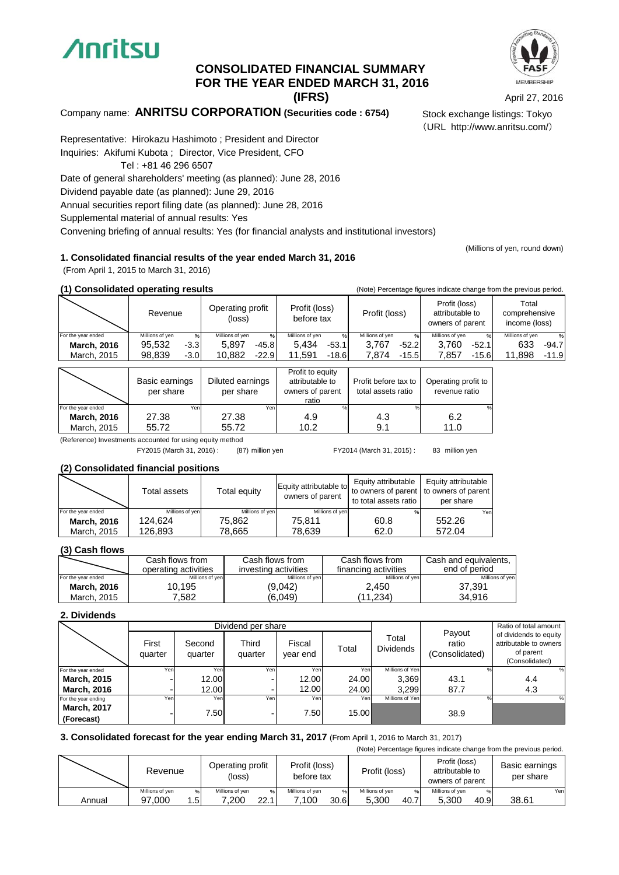

## **(IFRS) FOR THE YEAR ENDED MARCH 31, 2016 CONSOLIDATED FINANCIAL SUMMARY**

April 27, 2016

(URL http://www.anritsu.com/)

## Company name: **ANRITSU CORPORATION (Securities code : 6754)** Stock exchange listings: Tokyo

Representative: Hirokazu Hashimoto ; President and Director Inquiries: Akifumi Kubota ; Director, Vice President, CFO

Tel : +81 46 296 6507

Date of general shareholders' meeting (as planned): June 28, 2016

Dividend payable date (as planned): June 29, 2016

Annual securities report filing date (as planned): June 28, 2016

Supplemental material of annual results: Yes

Convening briefing of annual results: Yes (for financial analysts and institutional investors)

(Millions of yen, round down)

#### **1. Consolidated financial results of the year ended March 31, 2016**

(From April 1, 2015 to March 31, 2016)

| (1) Consolidated operating results |                 |        |                            | (Note) Percentage figures indicate change from the previous period. |                      |                                                      |                                         |  |
|------------------------------------|-----------------|--------|----------------------------|---------------------------------------------------------------------|----------------------|------------------------------------------------------|-----------------------------------------|--|
|                                    | Revenue         |        | Operating profit<br>(loss) | Profit (loss)<br>before tax                                         | Profit (loss)        | Profit (loss)<br>attributable to<br>owners of parent | Total<br>comprehensive<br>income (loss) |  |
| For the year ended                 | Millions of ven | %      | Millions of ven<br>0/6     | Millions of ven<br>$\%$                                             | Millions of ven<br>% | Millions of ven<br>0/6                               | Millions of ven<br>%                    |  |
| <b>March, 2016</b>                 | 95.532          | $-3.3$ | 5.897<br>$-45.8$           | 5.434<br>$-53.1$                                                    | 3.767<br>$-52.2$     | 3.760<br>$-52.1$                                     | 633<br>$-94.7$                          |  |
| March, 2015                        | 98.839          | $-3.0$ | 10.882<br>$-22.9$          | .591<br>$-18.6$                                                     | 7.874<br>$-15.5$     | 7.857<br>$-15.6$                                     | 11.898<br>$-11.9$                       |  |

|                    | Basic earnings<br>per share | Diluted earnings<br>per share | Profit to equity<br>attributable to<br>owners of parent<br>ratio | Profit before tax to<br>total assets ratio | Operating profit to<br>revenue ratio |
|--------------------|-----------------------------|-------------------------------|------------------------------------------------------------------|--------------------------------------------|--------------------------------------|
| For the year ended | Yen                         | Yeni                          |                                                                  |                                            | %                                    |
| <b>March, 2016</b> | 27.38                       | 27.38                         | 4.9                                                              | 4.3                                        | 6.2                                  |
| March, 2015        | 55.72                       | 55.72                         | 10.2                                                             | 9.1                                        | 11.0                                 |

(Reference) Investments accounted for using equity method

(87) million yen 83 million yen FY2015 (March 31, 2016) : FY2014 (March 31, 2015) :

### **(2) Consolidated financial positions**

|                    | Total assets    | Total equity    | Equity attributable to<br>owners of parent | Equity attributable<br>to total assets ratio | Equity attributable<br>to owners of parent to owners of parent<br>per share |
|--------------------|-----------------|-----------------|--------------------------------------------|----------------------------------------------|-----------------------------------------------------------------------------|
| For the year ended | Millions of ven | Millions of ven | Millions of ven                            |                                              | Yen                                                                         |
| <b>March, 2016</b> | 124.624         | 75.862          | 75.811                                     | 60.8                                         | 552.26                                                                      |
| March, 2015        | 126.893         | 78.665          | 78.639                                     | 62.0                                         | 572.04                                                                      |

#### **(3) Cash flows**

|                    | Cash flows from<br>operating activities | Cash flows from<br>investing activities | Cash flows from<br>financing activities | Cash and equivalents,<br>end of period |
|--------------------|-----------------------------------------|-----------------------------------------|-----------------------------------------|----------------------------------------|
| For the year ended | Millions of yen                         | Millions of yen                         | Millions of yen                         | Millions of yen                        |
| <b>March, 2016</b> | 10,195                                  | (9,042)                                 | 2.450                                   | 37.391                                 |
| March, 2015        | 7.582                                   | (6.049)                                 | (11.234)                                | 34.916                                 |

#### **2. Dividends**

|                     |                  |                   | Dividend per share |                    |       |                           |                                   | Ratio of total amount                                                           |
|---------------------|------------------|-------------------|--------------------|--------------------|-------|---------------------------|-----------------------------------|---------------------------------------------------------------------------------|
|                     | First<br>quarter | Second<br>quarter | Third<br>quarter   | Fiscal<br>year end | Total | Total<br><b>Dividends</b> | Payout<br>ratio<br>(Consolidated) | of dividends to equity<br>attributable to owners<br>of parent<br>(Consolidated) |
| For the year ended  | Yen              | Yen               | Yen                | Yen                | Yen   | Millions of Yen           |                                   | ℅                                                                               |
| <b>March, 2015</b>  |                  | 12.00             |                    | 12.00              | 24.00 | 3.369                     | 43.1                              | 4.4                                                                             |
| <b>March, 2016</b>  |                  | 12.00             |                    | 12.00              | 24.00 | 3,299                     | 87.7                              | 4.3                                                                             |
| For the year ending | Yen              | Yen               | Yen                | Yen                | Yen   | Millions of Yen           | $\%$                              | %                                                                               |
| <b>March, 2017</b>  |                  | 7.50              |                    | 7.50               | 15.00 |                           | 38.9                              |                                                                                 |
| (Forecast)          |                  |                   |                    |                    |       |                           |                                   |                                                                                 |

#### **3. Consolidated forecast for the year ending March 31, 2017** (From April 1, 2016 to March 31, 2017) (Note) Percentage figures indicate change from the previous period.

|        | Operating profit<br>Revenue<br>(loss) |     | Profit (loss)<br>before tax |      | Profit (loss)   |      | Profit (loss)<br>attributable to<br>owners of parent |               | Basic earnings<br>per share |      |       |      |
|--------|---------------------------------------|-----|-----------------------------|------|-----------------|------|------------------------------------------------------|---------------|-----------------------------|------|-------|------|
|        | Millions of ven                       | %   | Millions of ven             |      | Millions of ven | 961  | Millions of ven                                      | $\frac{9}{6}$ | Millions of ven             | %    |       | Yenl |
| Annual | 97.000                                | 1.5 | .200                        | 22.1 | 7.100           | 30.6 | 5.300                                                | 40.7          | 5.300                       | 40.9 | 38.61 |      |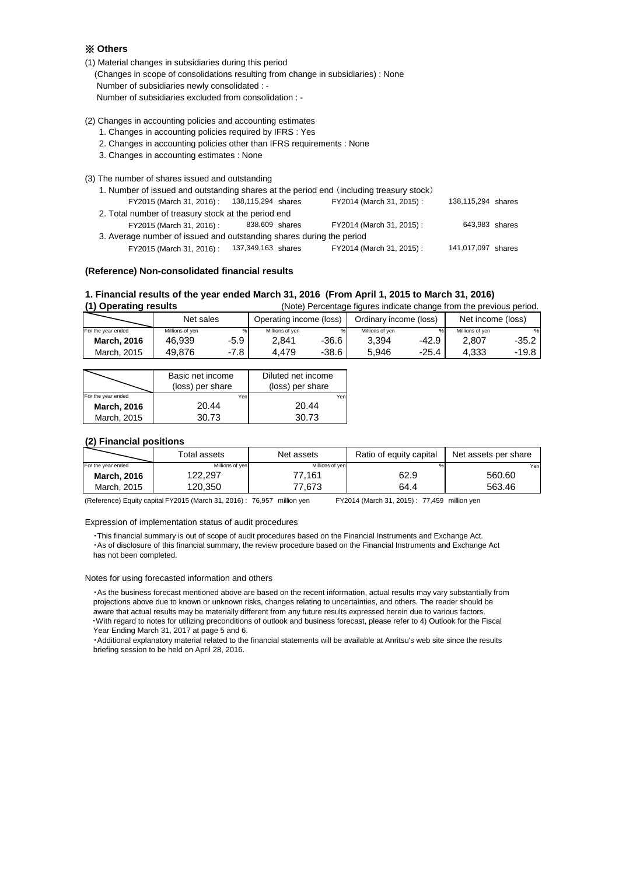#### ※ **Others**

- (1) Material changes in subsidiaries during this period (Changes in scope of consolidations resulting from change in subsidiaries) : None Number of subsidiaries newly consolidated : - Number of subsidiaries excluded from consolidation : -
- (2) Changes in accounting policies and accounting estimates
	- 1. Changes in accounting policies required by IFRS : Yes
	- 2. Changes in accounting policies other than IFRS requirements : None
	- 3. Changes in accounting estimates : None
- (3) The number of shares issued and outstanding

| 1. Number of issued and outstanding shares at the period end (including treasury stock) |                |                           |                    |  |
|-----------------------------------------------------------------------------------------|----------------|---------------------------|--------------------|--|
| FY2015 (March 31, 2016): 138,115,294 shares                                             |                | FY2014 (March 31, 2015):  | 138,115,294 shares |  |
| 2. Total number of treasury stock at the period end                                     |                |                           |                    |  |
| FY2015 (March 31, 2016) :                                                               | 838,609 shares | FY2014 (March 31, 2015):  | 643,983 shares     |  |
| 3. Average number of issued and outstanding shares during the period                    |                |                           |                    |  |
| FY2015 (March 31, 2016): 137,349,163 shares                                             |                | FY2014 (March 31, 2015) : | 141,017,097 shares |  |

#### **(Reference) Non-consolidated financial results**

#### **1. Financial results of the year ended March 31, 2016 (From April 1, 2015 to March 31, 2016)**

| (1) Operating results |                 |        | (Note) Percentage figures indicate change from the previous period. |       |                        |         |                   |         |  |
|-----------------------|-----------------|--------|---------------------------------------------------------------------|-------|------------------------|---------|-------------------|---------|--|
|                       | Net sales       |        | Operating income (loss)                                             |       | Ordinary income (loss) |         | Net income (loss) |         |  |
| For the year ended    | Millions of ven | %      | Millions of yen                                                     | %     | Millions of yen        | 96      | Millions of ven   | %       |  |
| <b>March, 2016</b>    | 46.939          | -5.9   | 2.841                                                               | -36.6 | 3.394                  | -42.9   | 2.807             | $-35.2$ |  |
| March, 2015           | 49.876          | $-7.8$ | 4.479                                                               | -38.6 | 5.946                  | $-25.4$ | 4.333             | $-19.8$ |  |

|                    | Basic net income | Diluted net income |
|--------------------|------------------|--------------------|
|                    | (loss) per share | (loss) per share   |
| For the year ended | Yen              | Yen                |
| <b>March, 2016</b> | 20.44            | 20.44              |
| March, 2015        | 30.73            | 30.73              |

#### **(2) Financial positions**

|                    | Total assets    | Net assets      | Ratio of equity capital | Net assets per share |
|--------------------|-----------------|-----------------|-------------------------|----------------------|
| For the year ended | Millions of yen | Millions of ven |                         | Yen                  |
| March, 2016        | 122.297         | 77.161          | 62.9                    | 560.60               |
| March, 2015        | 120,350         | 77.673          | 64.4                    | 563.46               |

(Reference) Equity capital FY2015 (March 31, 2016) : 76,957 million yen FY2014 (March 31, 2015) : 77,459 million yen

#### Expression of implementation status of audit procedures

・This financial summary is out of scope of audit procedures based on the Financial Instruments and Exchange Act.

 ・As of disclosure of this financial summary, the review procedure based on the Financial Instruments and Exchange Act has not been completed.

#### Notes for using forecasted information and others

 ・As the business forecast mentioned above are based on the recent information, actual results may vary substantially from projections above due to known or unknown risks, changes relating to uncertainties, and others. The reader should be aware that actual results may be materially different from any future results expressed herein due to various factors. ・With regard to notes for utilizing preconditions of outlook and business forecast, please refer to 4) Outlook for the Fiscal Year Ending March 31, 2017 at page 5 and 6.

 ・Additional explanatory material related to the financial statements will be available at Anritsu's web site since the results briefing session to be held on April 28, 2016.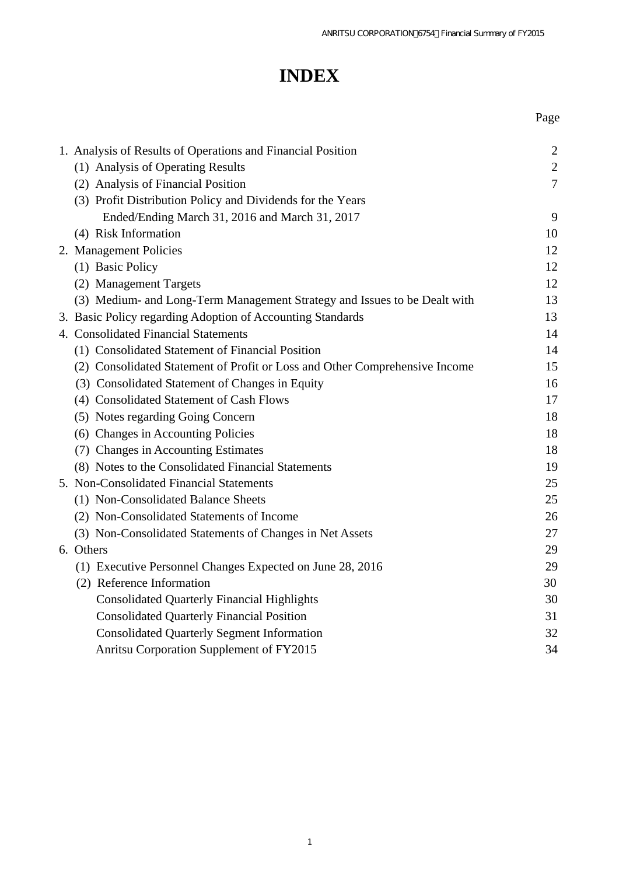# **INDEX**

|                                                                             | Page           |
|-----------------------------------------------------------------------------|----------------|
| 1. Analysis of Results of Operations and Financial Position                 | 2              |
| (1) Analysis of Operating Results                                           | $\overline{2}$ |
| (2) Analysis of Financial Position                                          | $\overline{7}$ |
| (3) Profit Distribution Policy and Dividends for the Years                  |                |
| Ended/Ending March 31, 2016 and March 31, 2017                              | 9              |
| (4) Risk Information                                                        | 10             |
| 2. Management Policies                                                      | 12             |
| (1) Basic Policy                                                            | 12             |
| (2) Management Targets                                                      | 12             |
| (3) Medium- and Long-Term Management Strategy and Issues to be Dealt with   | 13             |
| 3. Basic Policy regarding Adoption of Accounting Standards                  | 13             |
| 4. Consolidated Financial Statements                                        | 14             |
| (1) Consolidated Statement of Financial Position                            | 14             |
| (2) Consolidated Statement of Profit or Loss and Other Comprehensive Income | 15             |
| (3) Consolidated Statement of Changes in Equity                             | 16             |
| (4) Consolidated Statement of Cash Flows                                    | 17             |
| (5) Notes regarding Going Concern                                           | 18             |
| (6) Changes in Accounting Policies                                          | 18             |
| (7) Changes in Accounting Estimates                                         | 18             |
| (8) Notes to the Consolidated Financial Statements                          | 19             |
| 5. Non-Consolidated Financial Statements                                    | 25             |
| (1) Non-Consolidated Balance Sheets                                         | 25             |
| (2) Non-Consolidated Statements of Income                                   | 26             |
| (3) Non-Consolidated Statements of Changes in Net Assets                    | 27             |
| 6. Others                                                                   | 29             |
| (1) Executive Personnel Changes Expected on June 28, 2016                   | 29             |
| (2) Reference Information                                                   | 30             |
| <b>Consolidated Quarterly Financial Highlights</b>                          | 30             |
| <b>Consolidated Quarterly Financial Position</b>                            | 31             |
| <b>Consolidated Quarterly Segment Information</b>                           | 32             |
| Anritsu Corporation Supplement of FY2015                                    | 34             |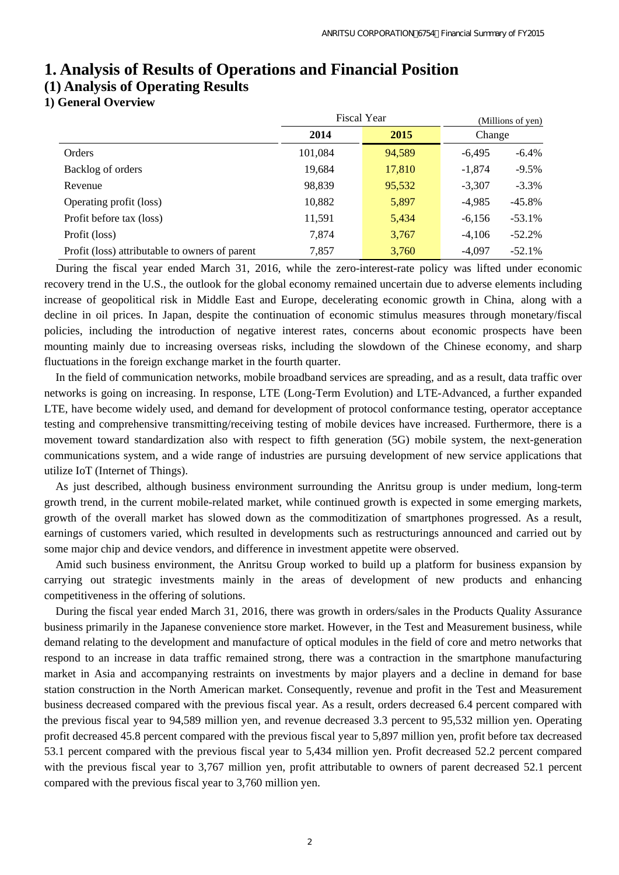# **1. Analysis of Results of Operations and Financial Position**

# **(1) Analysis of Operating Results**

## **1) General Overview**

|                                                |         | <b>Fiscal Year</b> |          |           |
|------------------------------------------------|---------|--------------------|----------|-----------|
|                                                | 2014    | 2015               | Change   |           |
| Orders                                         | 101,084 | 94,589             | $-6,495$ | $-6.4\%$  |
| Backlog of orders                              | 19,684  | 17,810             | $-1,874$ | $-9.5%$   |
| Revenue                                        | 98,839  | 95,532             | $-3,307$ | $-3.3\%$  |
| Operating profit (loss)                        | 10,882  | 5,897              | $-4,985$ | $-45.8%$  |
| Profit before tax (loss)                       | 11,591  | 5,434              | $-6,156$ | $-53.1\%$ |
| Profit (loss)                                  | 7,874   | 3,767              | $-4,106$ | $-52.2%$  |
| Profit (loss) attributable to owners of parent | 7,857   | 3,760              | $-4,097$ | $-52.1%$  |

During the fiscal year ended March 31, 2016, while the zero-interest-rate policy was lifted under economic recovery trend in the U.S., the outlook for the global economy remained uncertain due to adverse elements including increase of geopolitical risk in Middle East and Europe, decelerating economic growth in China, along with a decline in oil prices. In Japan, despite the continuation of economic stimulus measures through monetary/fiscal policies, including the introduction of negative interest rates, concerns about economic prospects have been mounting mainly due to increasing overseas risks, including the slowdown of the Chinese economy, and sharp fluctuations in the foreign exchange market in the fourth quarter.

In the field of communication networks, mobile broadband services are spreading, and as a result, data traffic over networks is going on increasing. In response, LTE (Long-Term Evolution) and LTE-Advanced, a further expanded LTE, have become widely used, and demand for development of protocol conformance testing, operator acceptance testing and comprehensive transmitting/receiving testing of mobile devices have increased. Furthermore, there is a movement toward standardization also with respect to fifth generation (5G) mobile system, the next-generation communications system, and a wide range of industries are pursuing development of new service applications that utilize IoT (Internet of Things).

As just described, although business environment surrounding the Anritsu group is under medium, long-term growth trend, in the current mobile-related market, while continued growth is expected in some emerging markets, growth of the overall market has slowed down as the commoditization of smartphones progressed. As a result, earnings of customers varied, which resulted in developments such as restructurings announced and carried out by some major chip and device vendors, and difference in investment appetite were observed.

Amid such business environment, the Anritsu Group worked to build up a platform for business expansion by carrying out strategic investments mainly in the areas of development of new products and enhancing competitiveness in the offering of solutions.

During the fiscal year ended March 31, 2016, there was growth in orders/sales in the Products Quality Assurance business primarily in the Japanese convenience store market. However, in the Test and Measurement business, while demand relating to the development and manufacture of optical modules in the field of core and metro networks that respond to an increase in data traffic remained strong, there was a contraction in the smartphone manufacturing market in Asia and accompanying restraints on investments by major players and a decline in demand for base station construction in the North American market. Consequently, revenue and profit in the Test and Measurement business decreased compared with the previous fiscal year. As a result, orders decreased 6.4 percent compared with the previous fiscal year to 94,589 million yen, and revenue decreased 3.3 percent to 95,532 million yen. Operating profit decreased 45.8 percent compared with the previous fiscal year to 5,897 million yen, profit before tax decreased 53.1 percent compared with the previous fiscal year to 5,434 million yen. Profit decreased 52.2 percent compared with the previous fiscal year to 3,767 million yen, profit attributable to owners of parent decreased 52.1 percent compared with the previous fiscal year to 3,760 million yen.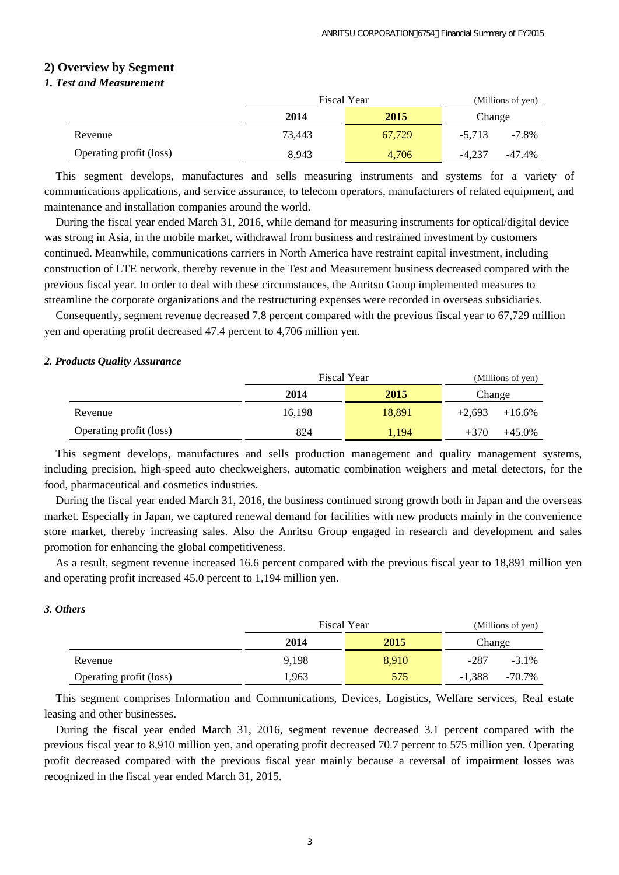## **2) Overview by Segment**

### *1. Test and Measurement*

|                         |        | <b>Fiscal Year</b> |          | (Millions of yen) |  |  |
|-------------------------|--------|--------------------|----------|-------------------|--|--|
|                         | 2014   | 2015               | Change   |                   |  |  |
| Revenue                 | 73.443 | 67.729             | $-5.713$ | $-7.8\%$          |  |  |
| Operating profit (loss) | 8.943  | 4.706              | -4.237   | -47.4%            |  |  |

This segment develops, manufactures and sells measuring instruments and systems for a variety of communications applications, and service assurance, to telecom operators, manufacturers of related equipment, and maintenance and installation companies around the world.

During the fiscal year ended March 31, 2016, while demand for measuring instruments for optical/digital device was strong in Asia, in the mobile market, withdrawal from business and restrained investment by customers continued. Meanwhile, communications carriers in North America have restraint capital investment, including construction of LTE network, thereby revenue in the Test and Measurement business decreased compared with the previous fiscal year. In order to deal with these circumstances, the Anritsu Group implemented measures to streamline the corporate organizations and the restructuring expenses were recorded in overseas subsidiaries.

Consequently, segment revenue decreased 7.8 percent compared with the previous fiscal year to 67,729 million yen and operating profit decreased 47.4 percent to 4,706 million yen.

#### *2. Products Quality Assurance*

|                         | <b>Fiscal Year</b> | (Millions of yen) |          |           |
|-------------------------|--------------------|-------------------|----------|-----------|
|                         | 2014               | 2015              | Change   |           |
| Revenue                 | 16.198             | 18,891            | $+2.693$ | $+16.6\%$ |
| Operating profit (loss) | 824                | 1.194             | $+370$   | $+45.0\%$ |

This segment develops, manufactures and sells production management and quality management systems, including precision, high-speed auto checkweighers, automatic combination weighers and metal detectors, for the food, pharmaceutical and cosmetics industries.

During the fiscal year ended March 31, 2016, the business continued strong growth both in Japan and the overseas market. Especially in Japan, we captured renewal demand for facilities with new products mainly in the convenience store market, thereby increasing sales. Also the Anritsu Group engaged in research and development and sales promotion for enhancing the global competitiveness.

As a result, segment revenue increased 16.6 percent compared with the previous fiscal year to 18,891 million yen and operating profit increased 45.0 percent to 1,194 million yen.

### *3. Others*

|                         | <b>Fiscal Year</b> | (Millions of yen) |          |           |
|-------------------------|--------------------|-------------------|----------|-----------|
|                         | 2014               | 2015              | Change   |           |
| Revenue                 | 9,198              | 8,910             | $-287$   | $-3.1\%$  |
| Operating profit (loss) | 1,963              | 575               | $-1.388$ | $-70.7\%$ |

This segment comprises Information and Communications, Devices, Logistics, Welfare services, Real estate leasing and other businesses.

During the fiscal year ended March 31, 2016, segment revenue decreased 3.1 percent compared with the previous fiscal year to 8,910 million yen, and operating profit decreased 70.7 percent to 575 million yen. Operating profit decreased compared with the previous fiscal year mainly because a reversal of impairment losses was recognized in the fiscal year ended March 31, 2015.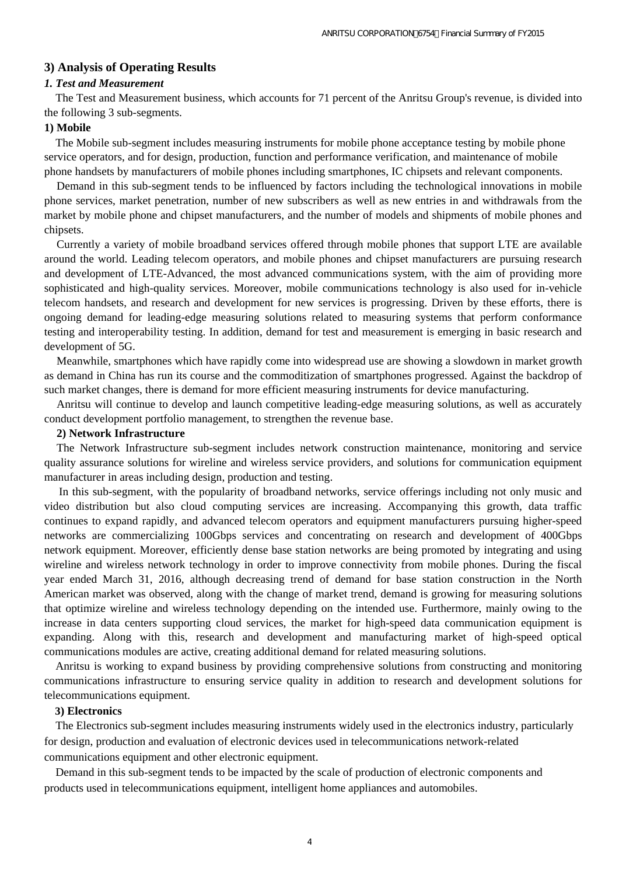#### **3) Analysis of Operating Results**

#### *1. Test and Measurement*

The Test and Measurement business, which accounts for 71 percent of the Anritsu Group's revenue, is divided into the following 3 sub-segments.

#### **1) Mobile**

The Mobile sub-segment includes measuring instruments for mobile phone acceptance testing by mobile phone service operators, and for design, production, function and performance verification, and maintenance of mobile phone handsets by manufacturers of mobile phones including smartphones, IC chipsets and relevant components.

Demand in this sub-segment tends to be influenced by factors including the technological innovations in mobile phone services, market penetration, number of new subscribers as well as new entries in and withdrawals from the market by mobile phone and chipset manufacturers, and the number of models and shipments of mobile phones and chipsets.

Currently a variety of mobile broadband services offered through mobile phones that support LTE are available around the world. Leading telecom operators, and mobile phones and chipset manufacturers are pursuing research and development of LTE-Advanced, the most advanced communications system, with the aim of providing more sophisticated and high-quality services. Moreover, mobile communications technology is also used for in-vehicle telecom handsets, and research and development for new services is progressing. Driven by these efforts, there is ongoing demand for leading-edge measuring solutions related to measuring systems that perform conformance testing and interoperability testing. In addition, demand for test and measurement is emerging in basic research and development of 5G.

Meanwhile, smartphones which have rapidly come into widespread use are showing a slowdown in market growth as demand in China has run its course and the commoditization of smartphones progressed. Against the backdrop of such market changes, there is demand for more efficient measuring instruments for device manufacturing.

Anritsu will continue to develop and launch competitive leading-edge measuring solutions, as well as accurately conduct development portfolio management, to strengthen the revenue base.

#### **2) Network Infrastructure**

The Network Infrastructure sub-segment includes network construction maintenance, monitoring and service quality assurance solutions for wireline and wireless service providers, and solutions for communication equipment manufacturer in areas including design, production and testing.

In this sub-segment, with the popularity of broadband networks, service offerings including not only music and video distribution but also cloud computing services are increasing. Accompanying this growth, data traffic continues to expand rapidly, and advanced telecom operators and equipment manufacturers pursuing higher-speed networks are commercializing 100Gbps services and concentrating on research and development of 400Gbps network equipment. Moreover, efficiently dense base station networks are being promoted by integrating and using wireline and wireless network technology in order to improve connectivity from mobile phones. During the fiscal year ended March 31, 2016, although decreasing trend of demand for base station construction in the North American market was observed, along with the change of market trend, demand is growing for measuring solutions that optimize wireline and wireless technology depending on the intended use. Furthermore, mainly owing to the increase in data centers supporting cloud services, the market for high-speed data communication equipment is expanding. Along with this, research and development and manufacturing market of high-speed optical communications modules are active, creating additional demand for related measuring solutions.

Anritsu is working to expand business by providing comprehensive solutions from constructing and monitoring communications infrastructure to ensuring service quality in addition to research and development solutions for telecommunications equipment.

#### **3) Electronics**

The Electronics sub-segment includes measuring instruments widely used in the electronics industry, particularly for design, production and evaluation of electronic devices used in telecommunications network-related communications equipment and other electronic equipment.

Demand in this sub-segment tends to be impacted by the scale of production of electronic components and products used in telecommunications equipment, intelligent home appliances and automobiles.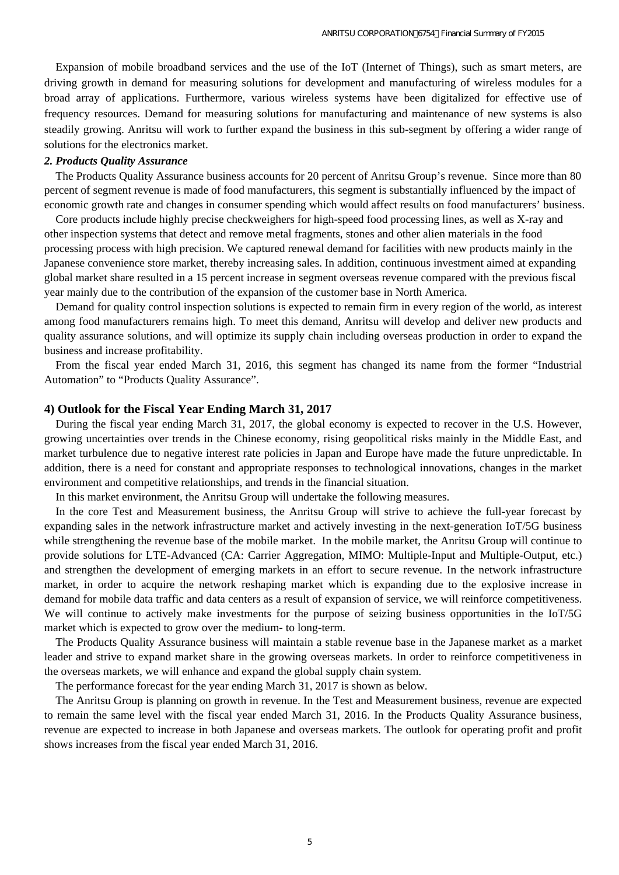Expansion of mobile broadband services and the use of the IoT (Internet of Things), such as smart meters, are driving growth in demand for measuring solutions for development and manufacturing of wireless modules for a broad array of applications. Furthermore, various wireless systems have been digitalized for effective use of frequency resources. Demand for measuring solutions for manufacturing and maintenance of new systems is also steadily growing. Anritsu will work to further expand the business in this sub-segment by offering a wider range of solutions for the electronics market.

#### *2. Products Quality Assurance*

The Products Quality Assurance business accounts for 20 percent of Anritsu Group's revenue. Since more than 80 percent of segment revenue is made of food manufacturers, this segment is substantially influenced by the impact of economic growth rate and changes in consumer spending which would affect results on food manufacturers' business.

Core products include highly precise checkweighers for high-speed food processing lines, as well as X-ray and other inspection systems that detect and remove metal fragments, stones and other alien materials in the food processing process with high precision. We captured renewal demand for facilities with new products mainly in the Japanese convenience store market, thereby increasing sales. In addition, continuous investment aimed at expanding global market share resulted in a 15 percent increase in segment overseas revenue compared with the previous fiscal year mainly due to the contribution of the expansion of the customer base in North America.

Demand for quality control inspection solutions is expected to remain firm in every region of the world, as interest among food manufacturers remains high. To meet this demand, Anritsu will develop and deliver new products and quality assurance solutions, and will optimize its supply chain including overseas production in order to expand the business and increase profitability.

From the fiscal year ended March 31, 2016, this segment has changed its name from the former "Industrial Automation" to "Products Quality Assurance".

#### **4) Outlook for the Fiscal Year Ending March 31, 2017**

During the fiscal year ending March 31, 2017, the global economy is expected to recover in the U.S. However, growing uncertainties over trends in the Chinese economy, rising geopolitical risks mainly in the Middle East, and market turbulence due to negative interest rate policies in Japan and Europe have made the future unpredictable. In addition, there is a need for constant and appropriate responses to technological innovations, changes in the market environment and competitive relationships, and trends in the financial situation.

In this market environment, the Anritsu Group will undertake the following measures.

In the core Test and Measurement business, the Anritsu Group will strive to achieve the full-year forecast by expanding sales in the network infrastructure market and actively investing in the next-generation IoT/5G business while strengthening the revenue base of the mobile market. In the mobile market, the Anritsu Group will continue to provide solutions for LTE-Advanced (CA: Carrier Aggregation, MIMO: Multiple-Input and Multiple-Output, etc.) and strengthen the development of emerging markets in an effort to secure revenue. In the network infrastructure market, in order to acquire the network reshaping market which is expanding due to the explosive increase in demand for mobile data traffic and data centers as a result of expansion of service, we will reinforce competitiveness. We will continue to actively make investments for the purpose of seizing business opportunities in the IoT/5G market which is expected to grow over the medium- to long-term.

The Products Quality Assurance business will maintain a stable revenue base in the Japanese market as a market leader and strive to expand market share in the growing overseas markets. In order to reinforce competitiveness in the overseas markets, we will enhance and expand the global supply chain system.

The performance forecast for the year ending March 31, 2017 is shown as below.

The Anritsu Group is planning on growth in revenue. In the Test and Measurement business, revenue are expected to remain the same level with the fiscal year ended March 31, 2016. In the Products Quality Assurance business, revenue are expected to increase in both Japanese and overseas markets. The outlook for operating profit and profit shows increases from the fiscal year ended March 31, 2016.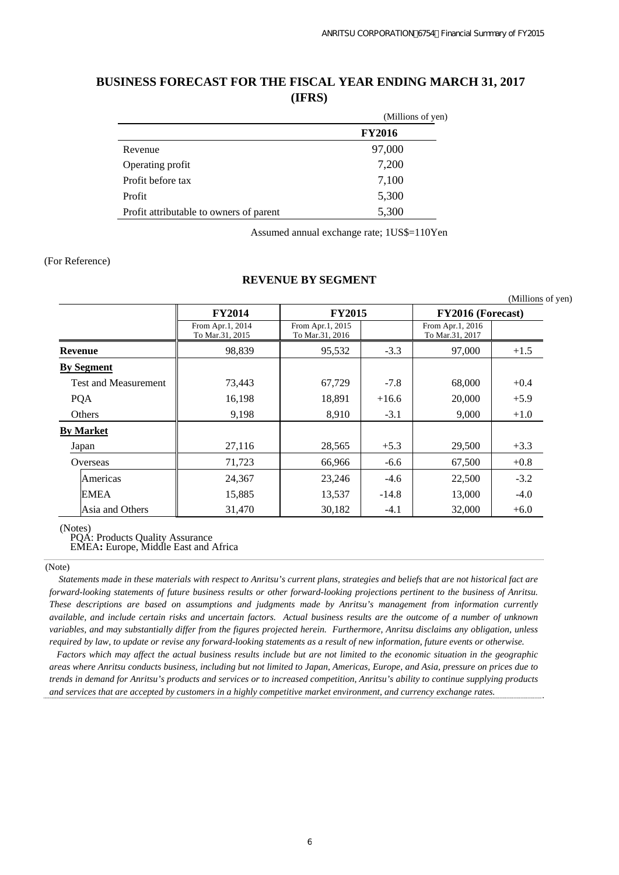## **BUSINESS FORECAST FOR THE FISCAL YEAR ENDING MARCH 31, 2017 (IFRS)**

|                                         | (Millions of yen) |
|-----------------------------------------|-------------------|
|                                         | <b>FY2016</b>     |
| Revenue                                 | 97,000            |
| Operating profit                        | 7,200             |
| Profit before tax                       | 7,100             |
| Profit                                  | 5,300             |
| Profit attributable to owners of parent | 5,300             |

Assumed annual exchange rate; 1US\$=110Yen

#### (For Reference)

#### **REVENUE BY SEGMENT**

|                             |                                     |                                     |         |                                     | (Millions of yen) |
|-----------------------------|-------------------------------------|-------------------------------------|---------|-------------------------------------|-------------------|
|                             | <b>FY2014</b>                       | <b>FY2015</b>                       |         | FY2016 (Forecast)                   |                   |
|                             | From Apr.1, 2014<br>To Mar.31, 2015 | From Apr.1, 2015<br>To Mar.31, 2016 |         | From Apr.1, 2016<br>To Mar.31, 2017 |                   |
| <b>Revenue</b>              | 98,839                              | 95,532                              | $-3.3$  | 97,000                              | $+1.5$            |
| <b>By Segment</b>           |                                     |                                     |         |                                     |                   |
| <b>Test and Measurement</b> | 73,443                              | 67,729                              | $-7.8$  | 68,000                              | $+0.4$            |
| PQA                         | 16,198                              | 18,891                              | $+16.6$ | 20,000                              | $+5.9$            |
| Others                      | 9,198                               | 8,910                               | $-3.1$  | 9,000                               | $+1.0$            |
| <b>By Market</b>            |                                     |                                     |         |                                     |                   |
| Japan                       | 27,116                              | 28,565                              | $+5.3$  | 29,500                              | $+3.3$            |
| Overseas                    | 71,723                              | 66,966                              | $-6.6$  | 67,500                              | $+0.8$            |
| Americas                    | 24,367                              | 23,246                              | $-4.6$  | 22,500                              | $-3.2$            |
| <b>EMEA</b>                 | 15,885                              | 13,537                              | $-14.8$ | 13,000                              | $-4.0$            |
| Asia and Others             | 31,470                              | 30,182                              | $-4.1$  | 32,000                              | $+6.0$            |

(Notes)

PQA: Products Quality Assurance

EMEA**:** Europe, Middle East and Africa

#### (Note)

 *Statements made in these materials with respect to Anritsu's current plans, strategies and beliefs that are not historical fact are forward-looking statements of future business results or other forward-looking projections pertinent to the business of Anritsu. These descriptions are based on assumptions and judgments made by Anritsu's management from information currently available, and include certain risks and uncertain factors. Actual business results are the outcome of a number of unknown variables, and may substantially differ from the figures projected herein. Furthermore, Anritsu disclaims any obligation, unless required by law, to update or revise any forward-looking statements as a result of new information, future events or otherwise.*

*Factors which may affect the actual business results include but are not limited to the economic situation in the geographic areas where Anritsu conducts business, including but not limited to Japan, Americas, Europe, and Asia, pressure on prices due to trends in demand for Anritsu's products and services or to increased competition, Anritsu's ability to continue supplying products and services that are accepted by customers in a highly competitive market environment, and currency exchange rates.*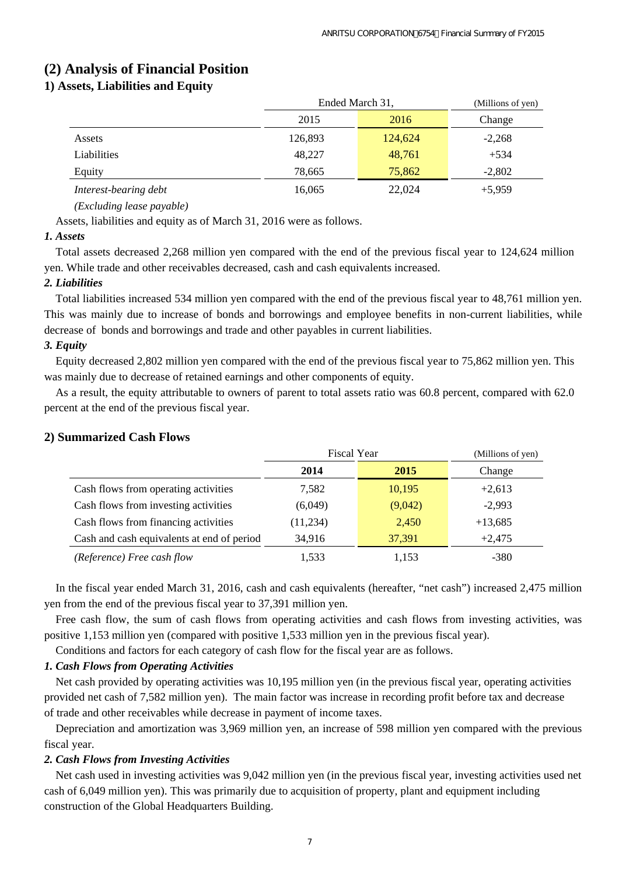## **(2) Analysis of Financial Position**

## **1) Assets, Liabilities and Equity**

|                       | Ended March 31, | (Millions of yen) |          |
|-----------------------|-----------------|-------------------|----------|
|                       | 2015            | 2016              | Change   |
| Assets                | 126,893         | 124,624           | $-2,268$ |
| Liabilities           | 48,227          | 48,761            | $+534$   |
| Equity                | 78,665          | 75,862            | $-2,802$ |
| Interest-bearing debt | 16,065          | 22,024            | $+5,959$ |

#### *(Excluding lease payable)*

Assets, liabilities and equity as of March 31, 2016 were as follows.

#### *1. Assets*

Total assets decreased 2,268 million yen compared with the end of the previous fiscal year to 124,624 million yen. While trade and other receivables decreased, cash and cash equivalents increased.

#### *2. Liabilities*

Total liabilities increased 534 million yen compared with the end of the previous fiscal year to 48,761 million yen. This was mainly due to increase of bonds and borrowings and employee benefits in non-current liabilities, while decrease of bonds and borrowings and trade and other payables in current liabilities.

### *3. Equity*

Equity decreased 2,802 million yen compared with the end of the previous fiscal year to 75,862 million yen. This was mainly due to decrease of retained earnings and other components of equity.

As a result, the equity attributable to owners of parent to total assets ratio was 60.8 percent, compared with 62.0 percent at the end of the previous fiscal year.

|                                            | <b>Fiscal Year</b> | (Millions of yen) |           |
|--------------------------------------------|--------------------|-------------------|-----------|
|                                            | 2014               | 2015              | Change    |
| Cash flows from operating activities       | 7,582              | 10,195            | $+2,613$  |
| Cash flows from investing activities       | (6,049)            | (9,042)           | $-2,993$  |
| Cash flows from financing activities       | (11,234)           | 2,450             | $+13,685$ |
| Cash and cash equivalents at end of period | 34,916             | 37,391            | $+2,475$  |
| (Reference) Free cash flow                 | 1,533              | 1,153             | $-380$    |

#### **2) Summarized Cash Flows**

In the fiscal year ended March 31, 2016, cash and cash equivalents (hereafter, "net cash") increased 2,475 million yen from the end of the previous fiscal year to 37,391 million yen.

Free cash flow, the sum of cash flows from operating activities and cash flows from investing activities, was positive 1,153 million yen (compared with positive 1,533 million yen in the previous fiscal year).

Conditions and factors for each category of cash flow for the fiscal year are as follows.

### *1. Cash Flows from Operating Activities*

Net cash provided by operating activities was 10,195 million yen (in the previous fiscal year, operating activities provided net cash of 7,582 million yen). The main factor was increase in recording profit before tax and decrease of trade and other receivables while decrease in payment of income taxes.

Depreciation and amortization was 3,969 million yen, an increase of 598 million yen compared with the previous fiscal year.

### *2. Cash Flows from Investing Activities*

Net cash used in investing activities was 9,042 million yen (in the previous fiscal year, investing activities used net cash of 6,049 million yen). This was primarily due to acquisition of property, plant and equipment including construction of the Global Headquarters Building.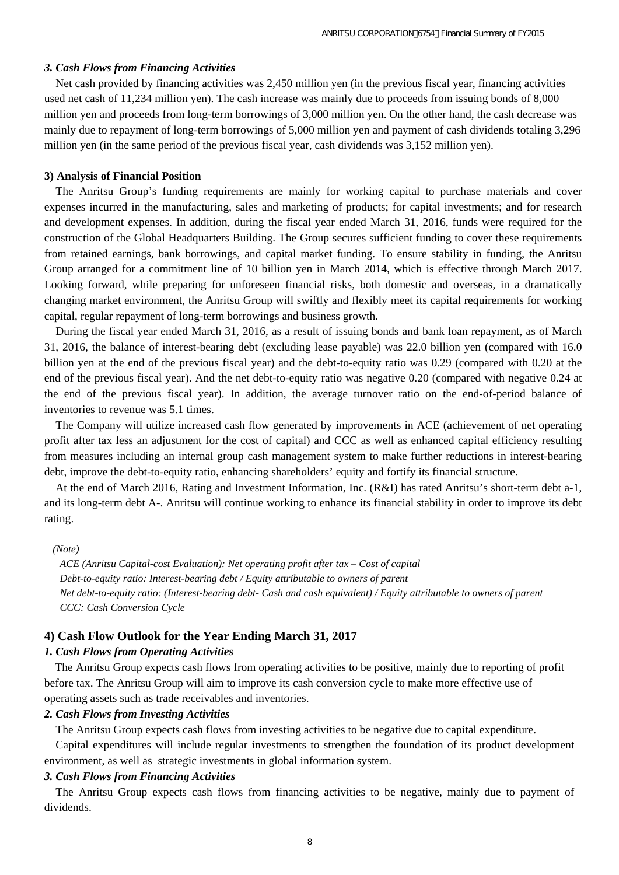#### *3. Cash Flows from Financing Activities*

Net cash provided by financing activities was 2,450 million yen (in the previous fiscal year, financing activities used net cash of 11,234 million yen). The cash increase was mainly due to proceeds from issuing bonds of 8,000 million yen and proceeds from long-term borrowings of 3,000 million yen. On the other hand, the cash decrease was mainly due to repayment of long-term borrowings of 5,000 million yen and payment of cash dividends totaling 3,296 million yen (in the same period of the previous fiscal year, cash dividends was 3,152 million yen).

#### **3) Analysis of Financial Position**

The Anritsu Group's funding requirements are mainly for working capital to purchase materials and cover expenses incurred in the manufacturing, sales and marketing of products; for capital investments; and for research and development expenses. In addition, during the fiscal year ended March 31, 2016, funds were required for the construction of the Global Headquarters Building. The Group secures sufficient funding to cover these requirements from retained earnings, bank borrowings, and capital market funding. To ensure stability in funding, the Anritsu Group arranged for a commitment line of 10 billion yen in March 2014, which is effective through March 2017. Looking forward, while preparing for unforeseen financial risks, both domestic and overseas, in a dramatically changing market environment, the Anritsu Group will swiftly and flexibly meet its capital requirements for working capital, regular repayment of long-term borrowings and business growth.

During the fiscal year ended March 31, 2016, as a result of issuing bonds and bank loan repayment, as of March 31, 2016, the balance of interest-bearing debt (excluding lease payable) was 22.0 billion yen (compared with 16.0 billion yen at the end of the previous fiscal year) and the debt-to-equity ratio was 0.29 (compared with 0.20 at the end of the previous fiscal year). And the net debt-to-equity ratio was negative 0.20 (compared with negative 0.24 at the end of the previous fiscal year). In addition, the average turnover ratio on the end-of-period balance of inventories to revenue was 5.1 times.

The Company will utilize increased cash flow generated by improvements in ACE (achievement of net operating profit after tax less an adjustment for the cost of capital) and CCC as well as enhanced capital efficiency resulting from measures including an internal group cash management system to make further reductions in interest-bearing debt, improve the debt-to-equity ratio, enhancing shareholders' equity and fortify its financial structure.

At the end of March 2016, Rating and Investment Information, Inc. (R&I) has rated Anritsu's short-term debt a-1, and its long-term debt A-. Anritsu will continue working to enhance its financial stability in order to improve its debt rating.

#### *(Note)*

*ACE (Anritsu Capital-cost Evaluation): Net operating profit after tax – Cost of capital Debt-to-equity ratio: Interest-bearing debt / Equity attributable to owners of parent Net debt-to-equity ratio: (Interest-bearing debt- Cash and cash equivalent) / Equity attributable to owners of parent CCC: Cash Conversion Cycle* 

#### **4) Cash Flow Outlook for the Year Ending March 31, 2017**

#### *1. Cash Flows from Operating Activities*

The Anritsu Group expects cash flows from operating activities to be positive, mainly due to reporting of profit before tax. The Anritsu Group will aim to improve its cash conversion cycle to make more effective use of operating assets such as trade receivables and inventories.

#### *2. Cash Flows from Investing Activities*

The Anritsu Group expects cash flows from investing activities to be negative due to capital expenditure.

Capital expenditures will include regular investments to strengthen the foundation of its product development environment, as well as strategic investments in global information system.

#### *3. Cash Flows from Financing Activities*

The Anritsu Group expects cash flows from financing activities to be negative, mainly due to payment of dividends.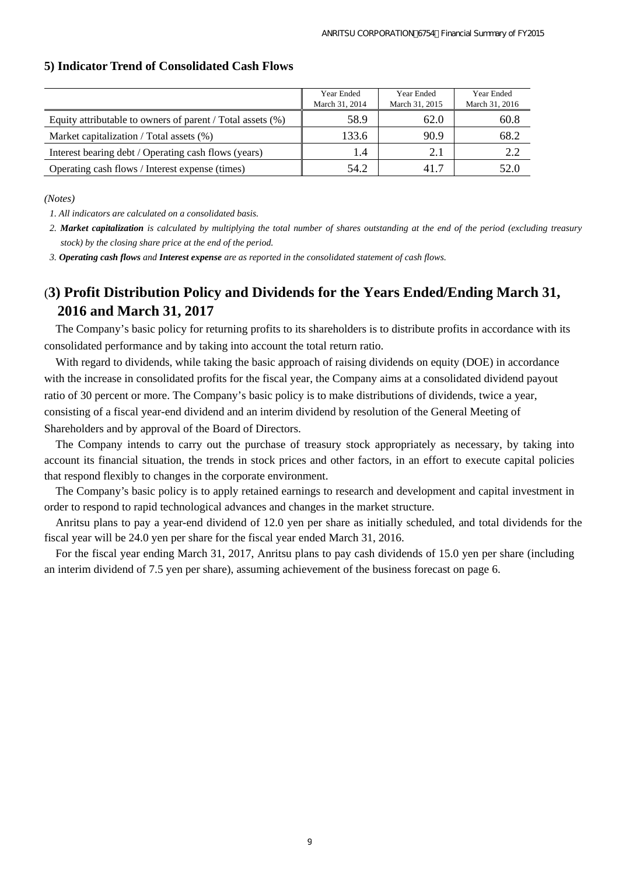|                                                               | Year Ended<br>March 31, 2014 | Year Ended<br>March 31, 2015 | Year Ended<br>March 31, 2016 |
|---------------------------------------------------------------|------------------------------|------------------------------|------------------------------|
| Equity attributable to owners of parent / Total assets $(\%)$ | 58.9                         | 62.0                         | 60.8                         |
| Market capitalization / Total assets (%)                      | 133.6                        | 90.9                         | 68.2                         |
| Interest bearing debt / Operating cash flows (years)          | 1.4                          | 2.1                          | 2.2                          |
| Operating cash flows / Interest expense (times)               | 54.2                         | 417                          | 52.0                         |

#### **5) Indicator Trend of Consolidated Cash Flows**

*(Notes)* 

*1. All indicators are calculated on a consolidated basis.* 

*2. Market capitalization is calculated by multiplying the total number of shares outstanding at the end of the period (excluding treasury stock) by the closing share price at the end of the period.* 

*3. Operating cash flows and Interest expense are as reported in the consolidated statement of cash flows.* 

# (**3) Profit Distribution Policy and Dividends for the Years Ended/Ending March 31, 2016 and March 31, 2017**

The Company's basic policy for returning profits to its shareholders is to distribute profits in accordance with its consolidated performance and by taking into account the total return ratio.

With regard to dividends, while taking the basic approach of raising dividends on equity (DOE) in accordance with the increase in consolidated profits for the fiscal year, the Company aims at a consolidated dividend payout ratio of 30 percent or more. The Company's basic policy is to make distributions of dividends, twice a year, consisting of a fiscal year-end dividend and an interim dividend by resolution of the General Meeting of Shareholders and by approval of the Board of Directors.

The Company intends to carry out the purchase of treasury stock appropriately as necessary, by taking into account its financial situation, the trends in stock prices and other factors, in an effort to execute capital policies that respond flexibly to changes in the corporate environment.

The Company's basic policy is to apply retained earnings to research and development and capital investment in order to respond to rapid technological advances and changes in the market structure.

Anritsu plans to pay a year-end dividend of 12.0 yen per share as initially scheduled, and total dividends for the fiscal year will be 24.0 yen per share for the fiscal year ended March 31, 2016.

For the fiscal year ending March 31, 2017, Anritsu plans to pay cash dividends of 15.0 yen per share (including an interim dividend of 7.5 yen per share), assuming achievement of the business forecast on page 6.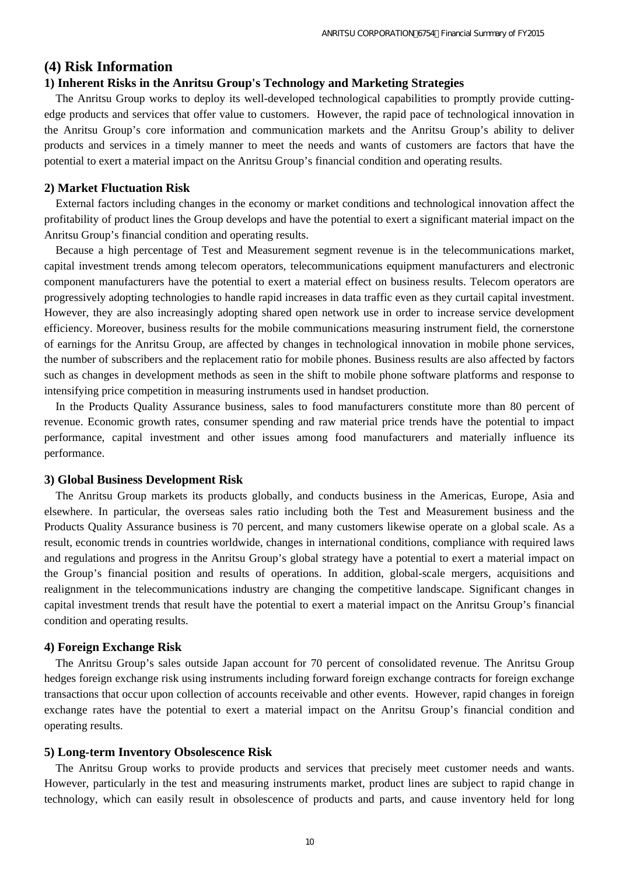## **(4) Risk Information**

#### **1) Inherent Risks in the Anritsu Group's Technology and Marketing Strategies**

The Anritsu Group works to deploy its well-developed technological capabilities to promptly provide cuttingedge products and services that offer value to customers. However, the rapid pace of technological innovation in the Anritsu Group's core information and communication markets and the Anritsu Group's ability to deliver products and services in a timely manner to meet the needs and wants of customers are factors that have the potential to exert a material impact on the Anritsu Group's financial condition and operating results.

#### **2) Market Fluctuation Risk**

External factors including changes in the economy or market conditions and technological innovation affect the profitability of product lines the Group develops and have the potential to exert a significant material impact on the Anritsu Group's financial condition and operating results.

Because a high percentage of Test and Measurement segment revenue is in the telecommunications market, capital investment trends among telecom operators, telecommunications equipment manufacturers and electronic component manufacturers have the potential to exert a material effect on business results. Telecom operators are progressively adopting technologies to handle rapid increases in data traffic even as they curtail capital investment. However, they are also increasingly adopting shared open network use in order to increase service development efficiency. Moreover, business results for the mobile communications measuring instrument field, the cornerstone of earnings for the Anritsu Group, are affected by changes in technological innovation in mobile phone services, the number of subscribers and the replacement ratio for mobile phones. Business results are also affected by factors such as changes in development methods as seen in the shift to mobile phone software platforms and response to intensifying price competition in measuring instruments used in handset production.

In the Products Quality Assurance business, sales to food manufacturers constitute more than 80 percent of revenue. Economic growth rates, consumer spending and raw material price trends have the potential to impact performance, capital investment and other issues among food manufacturers and materially influence its performance.

#### **3) Global Business Development Risk**

The Anritsu Group markets its products globally, and conducts business in the Americas, Europe, Asia and elsewhere. In particular, the overseas sales ratio including both the Test and Measurement business and the Products Quality Assurance business is 70 percent, and many customers likewise operate on a global scale. As a result, economic trends in countries worldwide, changes in international conditions, compliance with required laws and regulations and progress in the Anritsu Group's global strategy have a potential to exert a material impact on the Group's financial position and results of operations. In addition, global-scale mergers, acquisitions and realignment in the telecommunications industry are changing the competitive landscape. Significant changes in capital investment trends that result have the potential to exert a material impact on the Anritsu Group's financial condition and operating results.

#### **4) Foreign Exchange Risk**

The Anritsu Group's sales outside Japan account for 70 percent of consolidated revenue. The Anritsu Group hedges foreign exchange risk using instruments including forward foreign exchange contracts for foreign exchange transactions that occur upon collection of accounts receivable and other events. However, rapid changes in foreign exchange rates have the potential to exert a material impact on the Anritsu Group's financial condition and operating results.

#### **5) Long-term Inventory Obsolescence Risk**

The Anritsu Group works to provide products and services that precisely meet customer needs and wants. However, particularly in the test and measuring instruments market, product lines are subject to rapid change in technology, which can easily result in obsolescence of products and parts, and cause inventory held for long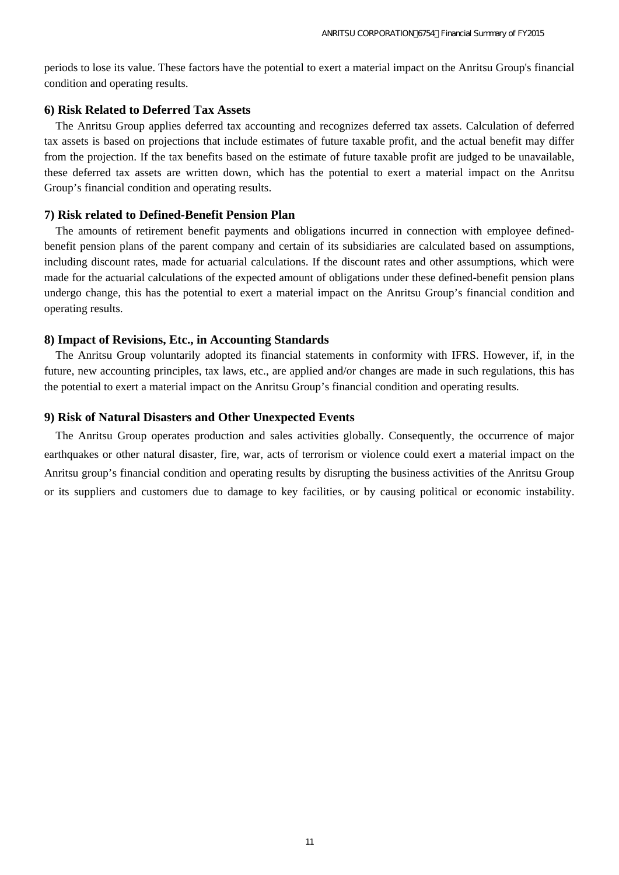periods to lose its value. These factors have the potential to exert a material impact on the Anritsu Group's financial condition and operating results.

### **6) Risk Related to Deferred Tax Assets**

The Anritsu Group applies deferred tax accounting and recognizes deferred tax assets. Calculation of deferred tax assets is based on projections that include estimates of future taxable profit, and the actual benefit may differ from the projection. If the tax benefits based on the estimate of future taxable profit are judged to be unavailable, these deferred tax assets are written down, which has the potential to exert a material impact on the Anritsu Group's financial condition and operating results.

### **7) Risk related to Defined-Benefit Pension Plan**

The amounts of retirement benefit payments and obligations incurred in connection with employee definedbenefit pension plans of the parent company and certain of its subsidiaries are calculated based on assumptions, including discount rates, made for actuarial calculations. If the discount rates and other assumptions, which were made for the actuarial calculations of the expected amount of obligations under these defined-benefit pension plans undergo change, this has the potential to exert a material impact on the Anritsu Group's financial condition and operating results.

### **8) Impact of Revisions, Etc., in Accounting Standards**

The Anritsu Group voluntarily adopted its financial statements in conformity with IFRS. However, if, in the future, new accounting principles, tax laws, etc., are applied and/or changes are made in such regulations, this has the potential to exert a material impact on the Anritsu Group's financial condition and operating results.

#### **9) Risk of Natural Disasters and Other Unexpected Events**

The Anritsu Group operates production and sales activities globally. Consequently, the occurrence of major earthquakes or other natural disaster, fire, war, acts of terrorism or violence could exert a material impact on the Anritsu group's financial condition and operating results by disrupting the business activities of the Anritsu Group or its suppliers and customers due to damage to key facilities, or by causing political or economic instability.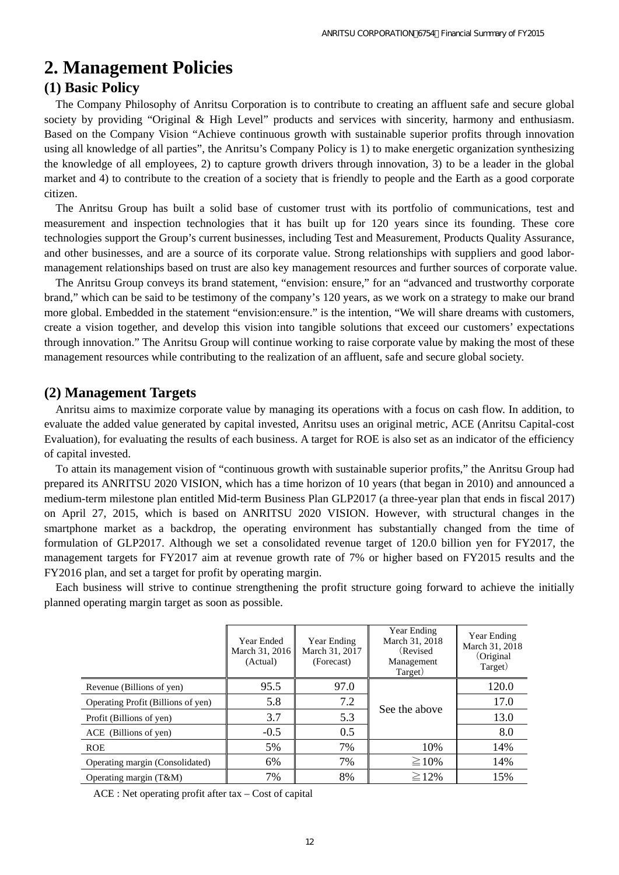# **2. Management Policies**

## **(1) Basic Policy**

The Company Philosophy of Anritsu Corporation is to contribute to creating an affluent safe and secure global society by providing "Original & High Level" products and services with sincerity, harmony and enthusiasm. Based on the Company Vision "Achieve continuous growth with sustainable superior profits through innovation using all knowledge of all parties", the Anritsu's Company Policy is 1) to make energetic organization synthesizing the knowledge of all employees, 2) to capture growth drivers through innovation, 3) to be a leader in the global market and 4) to contribute to the creation of a society that is friendly to people and the Earth as a good corporate citizen.

The Anritsu Group has built a solid base of customer trust with its portfolio of communications, test and measurement and inspection technologies that it has built up for 120 years since its founding. These core technologies support the Group's current businesses, including Test and Measurement, Products Quality Assurance, and other businesses, and are a source of its corporate value. Strong relationships with suppliers and good labormanagement relationships based on trust are also key management resources and further sources of corporate value.

The Anritsu Group conveys its brand statement, "envision: ensure," for an "advanced and trustworthy corporate brand," which can be said to be testimony of the company's 120 years, as we work on a strategy to make our brand more global. Embedded in the statement "envision:ensure." is the intention, "We will share dreams with customers, create a vision together, and develop this vision into tangible solutions that exceed our customers' expectations through innovation." The Anritsu Group will continue working to raise corporate value by making the most of these management resources while contributing to the realization of an affluent, safe and secure global society.

## **(2) Management Targets**

Anritsu aims to maximize corporate value by managing its operations with a focus on cash flow. In addition, to evaluate the added value generated by capital invested, Anritsu uses an original metric, ACE (Anritsu Capital-cost Evaluation), for evaluating the results of each business. A target for ROE is also set as an indicator of the efficiency of capital invested.

To attain its management vision of "continuous growth with sustainable superior profits," the Anritsu Group had prepared its ANRITSU 2020 VISION, which has a time horizon of 10 years (that began in 2010) and announced a medium-term milestone plan entitled Mid-term Business Plan GLP2017 (a three-year plan that ends in fiscal 2017) on April 27, 2015, which is based on ANRITSU 2020 VISION. However, with structural changes in the smartphone market as a backdrop, the operating environment has substantially changed from the time of formulation of GLP2017. Although we set a consolidated revenue target of 120.0 billion yen for FY2017, the management targets for FY2017 aim at revenue growth rate of 7% or higher based on FY2015 results and the FY2016 plan, and set a target for profit by operating margin.

Each business will strive to continue strengthening the profit structure going forward to achieve the initially planned operating margin target as soon as possible.

|                                    | Year Ended<br>March 31, 2016<br>(Actual) | Year Ending<br>March 31, 2017<br>(Forecast) | Year Ending<br>March 31, 2018<br>(Revised)<br>Management<br>Target) | Year Ending<br>March 31, 2018<br>(Original)<br>Target) |
|------------------------------------|------------------------------------------|---------------------------------------------|---------------------------------------------------------------------|--------------------------------------------------------|
| Revenue (Billions of yen)          | 95.5                                     | 97.0                                        |                                                                     | 120.0                                                  |
| Operating Profit (Billions of yen) | 5.8                                      | 7.2                                         | See the above                                                       | 17.0                                                   |
| Profit (Billions of yen)           | 3.7                                      | 5.3                                         |                                                                     | 13.0                                                   |
| ACE (Billions of yen)              | $-0.5$                                   | 0.5                                         |                                                                     | 8.0                                                    |
| <b>ROE</b>                         | 5%                                       | 7%                                          | 10%                                                                 | 14%                                                    |
| Operating margin (Consolidated)    | 6%                                       | 7%                                          | $\geq 10\%$                                                         | 14%                                                    |
| Operating margin $(T\&M)$          | 7%                                       | 8%                                          | $\geq$ 12%                                                          | 15%                                                    |

ACE : Net operating profit after tax – Cost of capital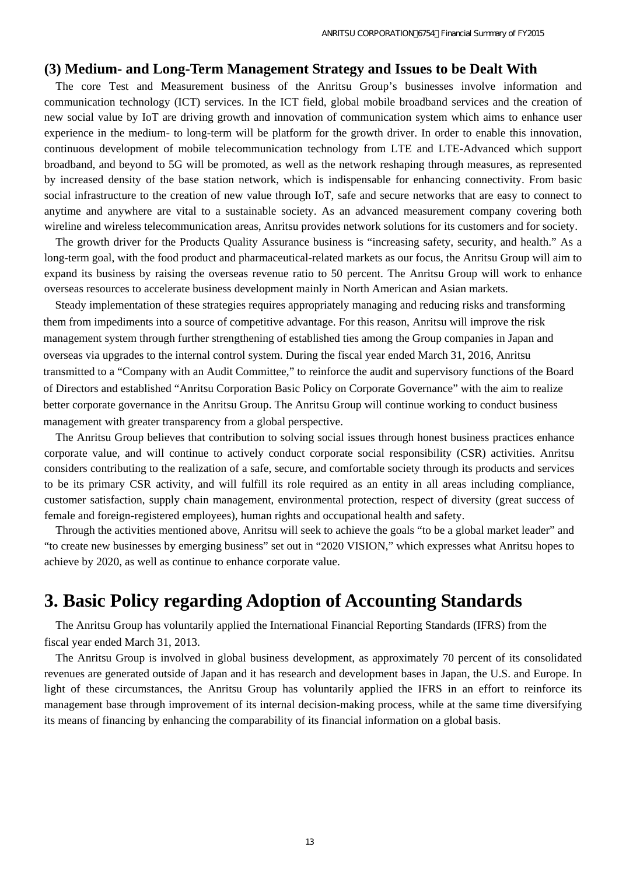### **(3) Medium- and Long-Term Management Strategy and Issues to be Dealt With**

The core Test and Measurement business of the Anritsu Group's businesses involve information and communication technology (ICT) services. In the ICT field, global mobile broadband services and the creation of new social value by IoT are driving growth and innovation of communication system which aims to enhance user experience in the medium- to long-term will be platform for the growth driver. In order to enable this innovation, continuous development of mobile telecommunication technology from LTE and LTE-Advanced which support broadband, and beyond to 5G will be promoted, as well as the network reshaping through measures, as represented by increased density of the base station network, which is indispensable for enhancing connectivity. From basic social infrastructure to the creation of new value through IoT, safe and secure networks that are easy to connect to anytime and anywhere are vital to a sustainable society. As an advanced measurement company covering both wireline and wireless telecommunication areas, Anritsu provides network solutions for its customers and for society.

The growth driver for the Products Quality Assurance business is "increasing safety, security, and health." As a long-term goal, with the food product and pharmaceutical-related markets as our focus, the Anritsu Group will aim to expand its business by raising the overseas revenue ratio to 50 percent. The Anritsu Group will work to enhance overseas resources to accelerate business development mainly in North American and Asian markets.

Steady implementation of these strategies requires appropriately managing and reducing risks and transforming them from impediments into a source of competitive advantage. For this reason, Anritsu will improve the risk management system through further strengthening of established ties among the Group companies in Japan and overseas via upgrades to the internal control system. During the fiscal year ended March 31, 2016, Anritsu transmitted to a "Company with an Audit Committee," to reinforce the audit and supervisory functions of the Board of Directors and established "Anritsu Corporation Basic Policy on Corporate Governance" with the aim to realize better corporate governance in the Anritsu Group. The Anritsu Group will continue working to conduct business management with greater transparency from a global perspective.

The Anritsu Group believes that contribution to solving social issues through honest business practices enhance corporate value, and will continue to actively conduct corporate social responsibility (CSR) activities. Anritsu considers contributing to the realization of a safe, secure, and comfortable society through its products and services to be its primary CSR activity, and will fulfill its role required as an entity in all areas including compliance, customer satisfaction, supply chain management, environmental protection, respect of diversity (great success of female and foreign-registered employees), human rights and occupational health and safety.

Through the activities mentioned above, Anritsu will seek to achieve the goals "to be a global market leader" and "to create new businesses by emerging business" set out in "2020 VISION," which expresses what Anritsu hopes to achieve by 2020, as well as continue to enhance corporate value.

# **3. Basic Policy regarding Adoption of Accounting Standards**

The Anritsu Group has voluntarily applied the International Financial Reporting Standards (IFRS) from the fiscal year ended March 31, 2013.

The Anritsu Group is involved in global business development, as approximately 70 percent of its consolidated revenues are generated outside of Japan and it has research and development bases in Japan, the U.S. and Europe. In light of these circumstances, the Anritsu Group has voluntarily applied the IFRS in an effort to reinforce its management base through improvement of its internal decision-making process, while at the same time diversifying its means of financing by enhancing the comparability of its financial information on a global basis.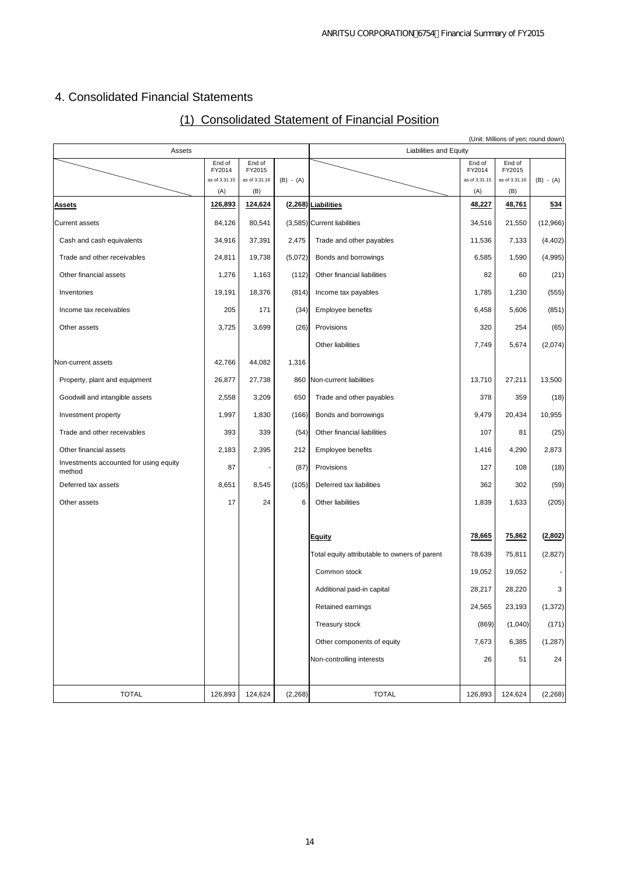# 4. Consolidated Financial Statements

|  | (1) Consolidated Statement of Financial Position |  |  |
|--|--------------------------------------------------|--|--|
|  |                                                  |  |  |

|                                                  |                         |                         |             |                                               |                         |                         | (Unit: Millions of yen; round down) |
|--------------------------------------------------|-------------------------|-------------------------|-------------|-----------------------------------------------|-------------------------|-------------------------|-------------------------------------|
| Assets                                           | End of                  | End of                  |             | <b>Liabilities and Equity</b>                 | End of                  | End of                  |                                     |
|                                                  | FY2014<br>as of 3.31.15 | FY2015<br>as of 3.31.16 | $(B) - (A)$ |                                               | FY2014<br>as of 3.31.15 | FY2015<br>as of 3.31.16 | $(B) - (A)$                         |
|                                                  | (A)                     | (B)                     |             |                                               | (A)                     | (B)                     |                                     |
| <b>Assets</b>                                    | 126,893                 | 124,624                 |             | (2,268) Liabilities                           | 48,227                  | 48,761                  | 534                                 |
| <b>Current assets</b>                            | 84,126                  | 80,541                  |             | (3,585) Current liabilities                   | 34,516                  | 21,550                  | (12,966)                            |
| Cash and cash equivalents                        | 34,916                  | 37,391                  | 2,475       | Trade and other payables                      | 11,536                  | 7,133                   | (4, 402)                            |
| Trade and other receivables                      | 24,811                  | 19,738                  | (5,072)     | Bonds and borrowings                          | 6,585                   | 1,590                   | (4,995)                             |
| Other financial assets                           | 1,276                   | 1,163                   | (112)       | Other financial liabilities                   | 82                      | 60                      | (21)                                |
| Inventories                                      | 19,191                  | 18,376                  | (814)       | Income tax payables                           | 1,785                   | 1,230                   | (555)                               |
| Income tax receivables                           | 205                     | 171                     | (34)        | <b>Employee benefits</b>                      | 6,458                   | 5,606                   | (851)                               |
| Other assets                                     | 3,725                   | 3,699                   | (26)        | Provisions                                    | 320                     | 254                     | (65)                                |
|                                                  |                         |                         |             | Other liabilities                             | 7,749                   | 5,674                   | (2,074)                             |
| Non-current assets                               | 42,766                  | 44,082                  | 1,316       |                                               |                         |                         |                                     |
| Property, plant and equipment                    | 26,877                  | 27,738                  |             | 860 Non-current liabilities                   | 13,710                  | 27,211                  | 13,500                              |
| Goodwill and intangible assets                   | 2,558                   | 3,209                   | 650         | Trade and other payables                      | 378                     | 359                     | (18)                                |
| Investment property                              | 1,997                   | 1,830                   | (166)       | Bonds and borrowings                          | 9,479                   | 20,434                  | 10,955                              |
| Trade and other receivables                      | 393                     | 339                     | (54)        | Other financial liabilities                   | 107                     | 81                      | (25)                                |
| Other financial assets                           | 2,183                   | 2,395                   | 212         | Employee benefits                             | 1,416                   | 4,290                   | 2,873                               |
| Investments accounted for using equity<br>method | 87                      |                         | (87)        | Provisions                                    | 127                     | 108                     | (18)                                |
| Deferred tax assets                              | 8,651                   | 8,545                   | (105)       | Deferred tax liabilities                      | 362                     | 302                     | (59)                                |
| Other assets                                     | 17                      | 24                      | 6           | Other liabilities                             | 1,839                   | 1,633                   | (205)                               |
|                                                  |                         |                         |             |                                               |                         |                         |                                     |
|                                                  |                         |                         |             | Equity                                        | 78,665                  | 75,862                  | (2,802)                             |
|                                                  |                         |                         |             | Total equity attributable to owners of parent | 78,639                  | 75,811                  | (2,827)                             |
|                                                  |                         |                         |             | Common stock                                  | 19,052                  | 19,052                  |                                     |
|                                                  |                         |                         |             | Additional paid-in capital                    | 28,217                  | 28,220                  | 3                                   |
|                                                  |                         |                         |             | Retained earnings                             | 24,565                  | 23,193                  | (1, 372)                            |
|                                                  |                         |                         |             | Treasury stock                                | (869)                   | (1,040)                 | (171)                               |
|                                                  |                         |                         |             | Other components of equity                    | 7,673                   | 6,385                   | (1, 287)                            |
|                                                  |                         |                         |             | Non-controlling interests                     | 26                      | 51                      | 24                                  |
| <b>TOTAL</b>                                     | 126,893                 | 124,624                 | (2, 268)    | <b>TOTAL</b>                                  | 126,893                 | 124,624                 | (2, 268)                            |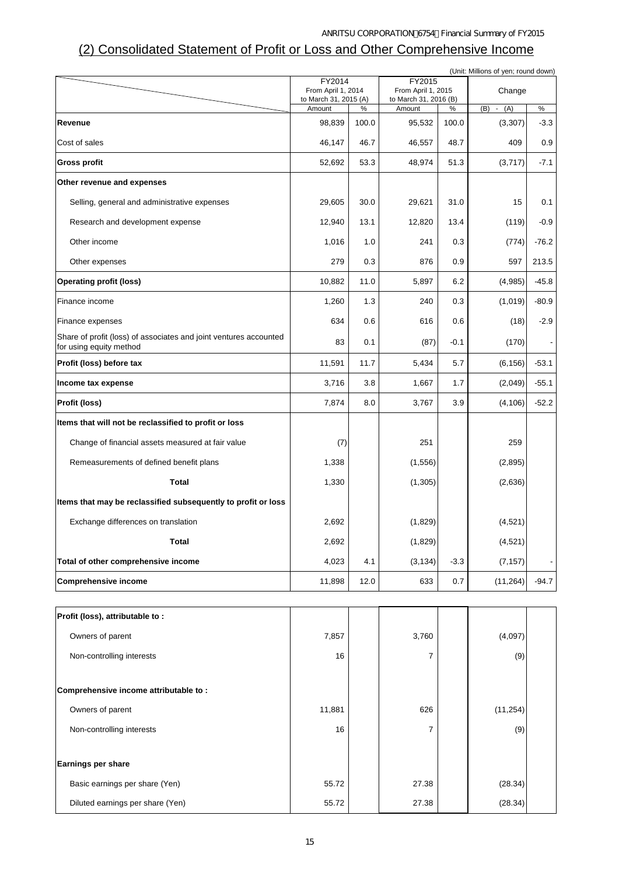## (2) Consolidated Statement of Profit or Loss and Other Comprehensive Income

| (Unit: Millions of yen; round down)                                                          |                                 |       |                                 |        |                    |         |
|----------------------------------------------------------------------------------------------|---------------------------------|-------|---------------------------------|--------|--------------------|---------|
|                                                                                              | FY2014<br>From April 1, 2014    |       | FY2015<br>From April 1, 2015    |        | Change             |         |
|                                                                                              | to March 31, 2015 (A)<br>Amount | %     | to March 31, 2016 (B)<br>Amount | $\%$   | (B)<br>(A)         | $\%$    |
| Revenue                                                                                      | 98,839                          | 100.0 | 95,532                          | 100.0  | $\sim$<br>(3, 307) | $-3.3$  |
| Cost of sales                                                                                | 46,147                          | 46.7  | 46,557                          | 48.7   | 409                | 0.9     |
| <b>Gross profit</b>                                                                          | 52,692                          | 53.3  | 48,974                          | 51.3   | (3,717)            | $-7.1$  |
| Other revenue and expenses                                                                   |                                 |       |                                 |        |                    |         |
| Selling, general and administrative expenses                                                 | 29,605                          | 30.0  | 29,621                          | 31.0   | 15                 | 0.1     |
| Research and development expense                                                             | 12,940                          | 13.1  | 12,820                          | 13.4   | (119)              | $-0.9$  |
| Other income                                                                                 | 1,016                           | 1.0   | 241                             | 0.3    | (774)              | $-76.2$ |
| Other expenses                                                                               | 279                             | 0.3   | 876                             | 0.9    | 597                | 213.5   |
| <b>Operating profit (loss)</b>                                                               | 10,882                          | 11.0  | 5,897                           | 6.2    | (4,985)            | $-45.8$ |
| Finance income                                                                               | 1,260                           | 1.3   | 240                             | 0.3    | (1,019)            | $-80.9$ |
| Finance expenses                                                                             | 634                             | 0.6   | 616                             | 0.6    | (18)               | $-2.9$  |
| Share of profit (loss) of associates and joint ventures accounted<br>for using equity method | 83                              | 0.1   | (87)                            | $-0.1$ | (170)              |         |
| Profit (loss) before tax                                                                     | 11,591                          | 11.7  | 5,434                           | 5.7    | (6, 156)           | $-53.1$ |
| Income tax expense                                                                           | 3,716                           | 3.8   | 1,667                           | 1.7    | (2,049)            | $-55.1$ |
| Profit (loss)                                                                                | 7,874                           | 8.0   | 3,767                           | 3.9    | (4, 106)           | $-52.2$ |
| Items that will not be reclassified to profit or loss                                        |                                 |       |                                 |        |                    |         |
| Change of financial assets measured at fair value                                            | (7)                             |       | 251                             |        | 259                |         |
| Remeasurements of defined benefit plans                                                      | 1,338                           |       | (1, 556)                        |        | (2,895)            |         |
| Total                                                                                        | 1,330                           |       | (1, 305)                        |        | (2,636)            |         |
| Items that may be reclassified subsequently to profit or loss                                |                                 |       |                                 |        |                    |         |
| Exchange differences on translation                                                          | 2,692                           |       | (1,829)                         |        | (4,521)            |         |
| <b>Total</b>                                                                                 | 2,692                           |       | (1,829)                         |        | (4, 521)           |         |
| Total of other comprehensive income                                                          | 4,023                           | 4.1   | (3, 134)                        | $-3.3$ | (7, 157)           |         |
| <b>Comprehensive income</b>                                                                  | 11,898                          | 12.0  | 633                             | 0.7    | (11, 264)          | $-94.7$ |
|                                                                                              |                                 |       |                                 |        |                    |         |
| Profit (loss), attributable to:                                                              |                                 |       |                                 |        |                    |         |
| Owners of parent                                                                             | 7,857                           |       | 3,760                           |        | (4,097)            |         |
| Non-controlling interests                                                                    | 16                              |       | 7                               |        | (9)                |         |
| Comprehensive income attributable to:                                                        |                                 |       |                                 |        |                    |         |
| Owners of parent                                                                             | 11,881                          |       | 626                             |        | (11, 254)          |         |
| Non-controlling interests                                                                    | 16                              |       | 7                               |        | (9)                |         |
|                                                                                              |                                 |       |                                 |        |                    |         |
| Earnings per share                                                                           |                                 |       |                                 |        |                    |         |
| Basic earnings per share (Yen)                                                               | 55.72                           |       | 27.38                           |        | (28.34)            |         |
| Diluted earnings per share (Yen)                                                             | 55.72                           |       | 27.38                           |        | (28.34)            |         |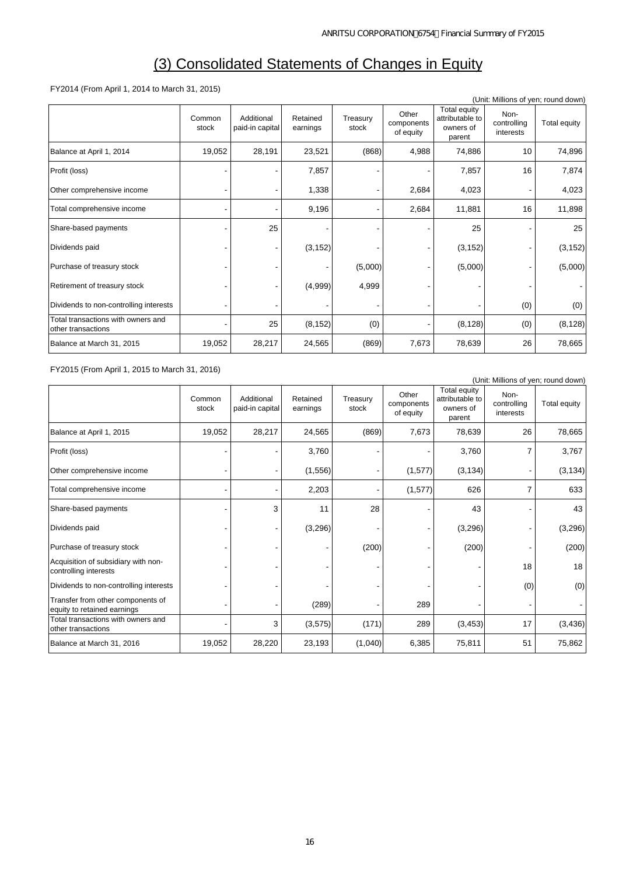# (3) Consolidated Statements of Changes in Equity

### FY2014 (From April 1, 2014 to March 31, 2015)

|                                                          |                 |                               |                      |                   |                                  |                                                               | (Unit: Millions of yen; round down) |              |
|----------------------------------------------------------|-----------------|-------------------------------|----------------------|-------------------|----------------------------------|---------------------------------------------------------------|-------------------------------------|--------------|
|                                                          | Common<br>stock | Additional<br>paid-in capital | Retained<br>earnings | Treasury<br>stock | Other<br>components<br>of equity | <b>Total equity</b><br>attributable to<br>owners of<br>parent | Non-<br>controlling<br>interests    | Total equity |
| Balance at April 1, 2014                                 | 19,052          | 28,191                        | 23,521               | (868)             | 4,988                            | 74,886                                                        | 10                                  | 74,896       |
| Profit (loss)                                            |                 |                               | 7,857                |                   |                                  | 7,857                                                         | 16                                  | 7,874        |
| Other comprehensive income                               |                 |                               | 1,338                |                   | 2,684                            | 4,023                                                         |                                     | 4,023        |
| Total comprehensive income                               |                 |                               | 9,196                |                   | 2,684                            | 11,881                                                        | 16                                  | 11,898       |
| Share-based payments                                     |                 | 25                            |                      |                   |                                  | 25                                                            |                                     | 25           |
| Dividends paid                                           |                 |                               | (3, 152)             |                   |                                  | (3, 152)                                                      |                                     | (3, 152)     |
| Purchase of treasury stock                               |                 |                               |                      | (5,000)           |                                  | (5,000)                                                       |                                     | (5,000)      |
| Retirement of treasury stock                             |                 |                               | (4,999)              | 4,999             |                                  |                                                               |                                     |              |
| Dividends to non-controlling interests                   |                 |                               |                      |                   |                                  |                                                               | (0)                                 | (0)          |
| Total transactions with owners and<br>other transactions |                 | 25                            | (8, 152)             | (0)               |                                  | (8, 128)                                                      | (0)                                 | (8, 128)     |
| Balance at March 31, 2015                                | 19,052          | 28,217                        | 24,565               | (869)             | 7,673                            | 78,639                                                        | 26                                  | 78,665       |

### FY2015 (From April 1, 2015 to March 31, 2016)

|                                                                  |                 |                               |                      |                   |                                  |                                                        | (Unit: Millions of yen; round down) |                     |
|------------------------------------------------------------------|-----------------|-------------------------------|----------------------|-------------------|----------------------------------|--------------------------------------------------------|-------------------------------------|---------------------|
|                                                                  | Common<br>stock | Additional<br>paid-in capital | Retained<br>earnings | Treasury<br>stock | Other<br>components<br>of equity | Total equity<br>attributable to<br>owners of<br>parent | Non-<br>controlling<br>interests    | <b>Total equity</b> |
| Balance at April 1, 2015                                         | 19,052          | 28,217                        | 24,565               | (869)             | 7,673                            | 78,639                                                 | 26                                  | 78,665              |
| Profit (loss)                                                    |                 |                               | 3,760                |                   |                                  | 3,760                                                  | 7                                   | 3,767               |
| Other comprehensive income                                       |                 |                               | (1, 556)             |                   | (1, 577)                         | (3, 134)                                               |                                     | (3, 134)            |
| Total comprehensive income                                       |                 |                               | 2,203                |                   | (1, 577)                         | 626                                                    | $\overline{7}$                      | 633                 |
| Share-based payments                                             |                 | 3                             | 11                   | 28                |                                  | 43                                                     |                                     | 43                  |
| Dividends paid                                                   |                 |                               | (3,296)              |                   |                                  | (3,296)                                                |                                     | (3,296)             |
| Purchase of treasury stock                                       |                 |                               |                      | (200)             |                                  | (200)                                                  |                                     | (200)               |
| Acquisition of subsidiary with non-<br>controlling interests     |                 |                               |                      |                   |                                  |                                                        | 18                                  | 18                  |
| Dividends to non-controlling interests                           |                 |                               |                      |                   |                                  |                                                        | (0)                                 | (0)                 |
| Transfer from other components of<br>equity to retained earnings |                 |                               | (289)                |                   | 289                              |                                                        |                                     |                     |
| Total transactions with owners and<br>other transactions         |                 | 3                             | (3,575)              | (171)             | 289                              | (3, 453)                                               | 17                                  | (3, 436)            |
| Balance at March 31, 2016                                        | 19,052          | 28,220                        | 23,193               | (1,040)           | 6,385                            | 75,811                                                 | 51                                  | 75,862              |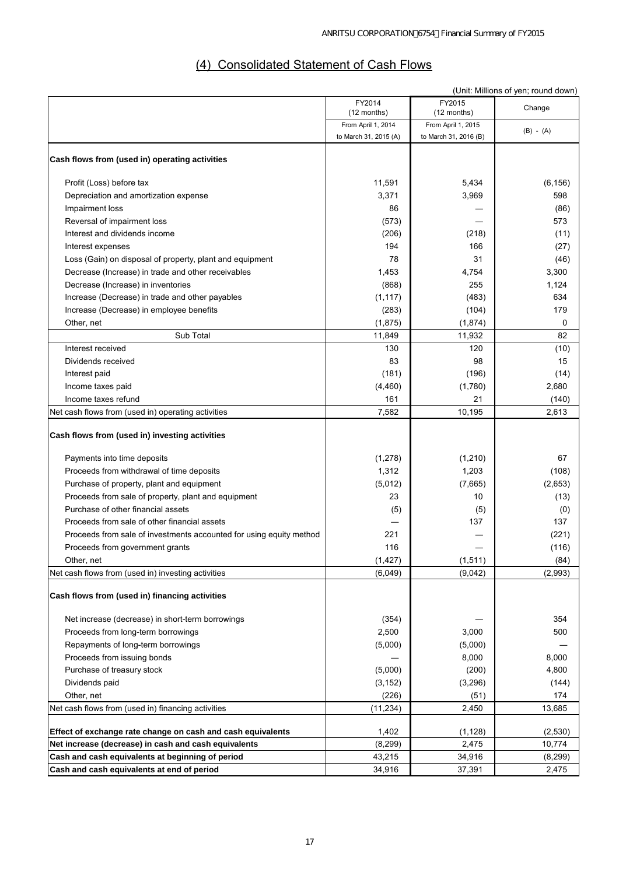# (4) Consolidated Statement of Cash Flows

|                                                                     |                                   |                       | (Unit: Millions of yen; round down) |
|---------------------------------------------------------------------|-----------------------------------|-----------------------|-------------------------------------|
|                                                                     | FY2014                            | FY2015<br>(12 months) | Change                              |
|                                                                     | (12 months)<br>From April 1, 2014 | From April 1, 2015    |                                     |
|                                                                     | to March 31, 2015 (A)             | to March 31, 2016 (B) | $(B) - (A)$                         |
|                                                                     |                                   |                       |                                     |
| Cash flows from (used in) operating activities                      |                                   |                       |                                     |
| Profit (Loss) before tax                                            | 11,591                            | 5,434                 | (6, 156)                            |
| Depreciation and amortization expense                               | 3,371                             | 3,969                 | 598                                 |
| Impairment loss                                                     | 86                                |                       | (86)                                |
| Reversal of impairment loss                                         | (573)                             |                       | 573                                 |
| Interest and dividends income                                       | (206)                             | (218)                 | (11)                                |
| Interest expenses                                                   | 194                               | 166                   | (27)                                |
| Loss (Gain) on disposal of property, plant and equipment            | 78                                | 31                    | (46)                                |
| Decrease (Increase) in trade and other receivables                  | 1,453                             | 4,754                 | 3,300                               |
| Decrease (Increase) in inventories                                  | (868)                             | 255                   | 1,124                               |
| Increase (Decrease) in trade and other payables                     | (1, 117)                          | (483)                 | 634                                 |
| Increase (Decrease) in employee benefits                            | (283)                             | (104)                 | 179                                 |
| Other, net                                                          | (1,875)                           | (1,874)               | 0                                   |
| Sub Total                                                           | 11,849                            | 11,932                | 82                                  |
| Interest received                                                   | 130                               | 120                   | (10)                                |
| Dividends received                                                  | 83                                | 98                    | 15                                  |
| Interest paid                                                       | (181)                             | (196)                 | (14)                                |
| Income taxes paid                                                   | (4, 460)                          | (1,780)               | 2,680                               |
| Income taxes refund                                                 | 161                               | 21                    | (140)                               |
| Net cash flows from (used in) operating activities                  | 7,582                             | 10,195                | 2,613                               |
| Cash flows from (used in) investing activities                      |                                   |                       |                                     |
| Payments into time deposits                                         | (1, 278)                          | (1,210)               | 67                                  |
| Proceeds from withdrawal of time deposits                           | 1,312                             | 1,203                 | (108)                               |
| Purchase of property, plant and equipment                           | (5,012)                           | (7,665)               | (2,653)                             |
| Proceeds from sale of property, plant and equipment                 | 23                                | 10                    | (13)                                |
| Purchase of other financial assets                                  | (5)                               | (5)                   | (0)                                 |
| Proceeds from sale of other financial assets                        |                                   | 137                   | 137                                 |
| Proceeds from sale of investments accounted for using equity method | 221                               |                       | (221)                               |
| Proceeds from government grants                                     | 116                               |                       | (116)                               |
| Other, net                                                          | (1, 427)                          | (1, 511)              | (84)                                |
| Net cash flows from (used in) investing activities                  | (6,049)                           | (9,042)               | (2,993)                             |
| Cash flows from (used in) financing activities                      |                                   |                       |                                     |
| Net increase (decrease) in short-term borrowings                    | (354)                             |                       | 354                                 |
| Proceeds from long-term borrowings                                  | 2,500                             | 3,000                 | 500                                 |
| Repayments of long-term borrowings                                  | (5,000)                           | (5,000)               |                                     |
| Proceeds from issuing bonds                                         |                                   | 8,000                 | 8,000                               |
| Purchase of treasury stock                                          | (5,000)                           | (200)                 | 4,800                               |
| Dividends paid                                                      | (3, 152)                          | (3,296)               | (144)                               |
| Other, net                                                          | (226)                             | (51)                  | 174                                 |
| Net cash flows from (used in) financing activities                  | (11, 234)                         | 2,450                 | 13,685                              |
| Effect of exchange rate change on cash and cash equivalents         | 1,402                             | (1, 128)              | (2,530)                             |
| Net increase (decrease) in cash and cash equivalents                | (8, 299)                          | 2,475                 | 10,774                              |
| Cash and cash equivalents at beginning of period                    | 43,215                            | 34,916                | (8,299)                             |
| Cash and cash equivalents at end of period                          | 34,916                            | 37,391                | 2,475                               |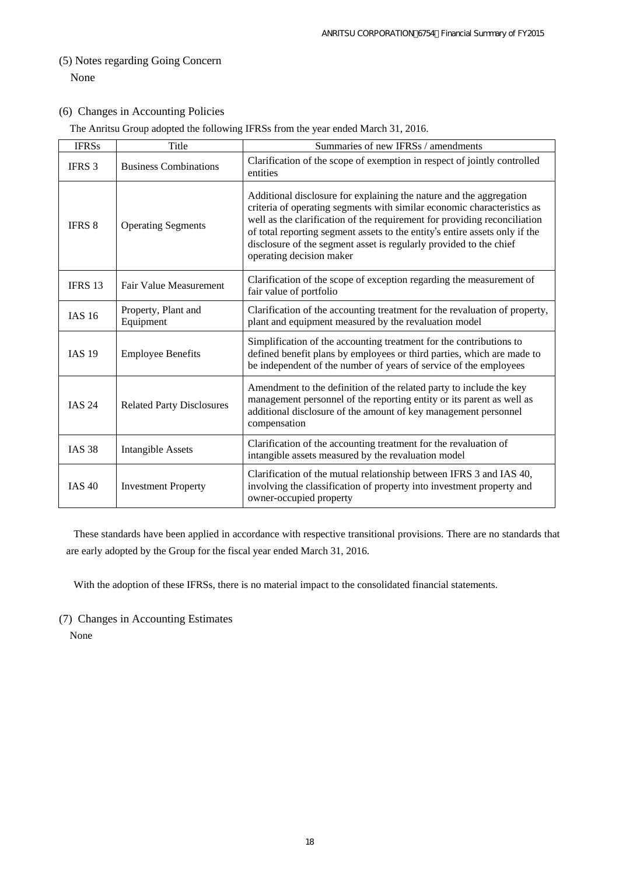# (5) Notes regarding Going Concern None

### (6) Changes in Accounting Policies

The Anritsu Group adopted the following IFRSs from the year ended March 31, 2016.

| <b>IFRSs</b>  | Title                            | Summaries of new IFRSs / amendments                                                                                                                                                                                                                                                                                                                                                                          |
|---------------|----------------------------------|--------------------------------------------------------------------------------------------------------------------------------------------------------------------------------------------------------------------------------------------------------------------------------------------------------------------------------------------------------------------------------------------------------------|
| IFRS 3        | <b>Business Combinations</b>     | Clarification of the scope of exemption in respect of jointly controlled<br>entities                                                                                                                                                                                                                                                                                                                         |
| <b>IFRS 8</b> | <b>Operating Segments</b>        | Additional disclosure for explaining the nature and the aggregation<br>criteria of operating segments with similar economic characteristics as<br>well as the clarification of the requirement for providing reconciliation<br>of total reporting segment assets to the entity's entire assets only if the<br>disclosure of the segment asset is regularly provided to the chief<br>operating decision maker |
| IFRS 13       | Fair Value Measurement           | Clarification of the scope of exception regarding the measurement of<br>fair value of portfolio                                                                                                                                                                                                                                                                                                              |
| <b>IAS 16</b> | Property, Plant and<br>Equipment | Clarification of the accounting treatment for the revaluation of property,<br>plant and equipment measured by the revaluation model                                                                                                                                                                                                                                                                          |
| <b>IAS 19</b> | <b>Employee Benefits</b>         | Simplification of the accounting treatment for the contributions to<br>defined benefit plans by employees or third parties, which are made to<br>be independent of the number of years of service of the employees                                                                                                                                                                                           |
| <b>IAS 24</b> | <b>Related Party Disclosures</b> | Amendment to the definition of the related party to include the key<br>management personnel of the reporting entity or its parent as well as<br>additional disclosure of the amount of key management personnel<br>compensation                                                                                                                                                                              |
| <b>IAS 38</b> | <b>Intangible Assets</b>         | Clarification of the accounting treatment for the revaluation of<br>intangible assets measured by the revaluation model                                                                                                                                                                                                                                                                                      |
| <b>IAS 40</b> | <b>Investment Property</b>       | Clarification of the mutual relationship between IFRS 3 and IAS 40,<br>involving the classification of property into investment property and<br>owner-occupied property                                                                                                                                                                                                                                      |

These standards have been applied in accordance with respective transitional provisions. There are no standards that are early adopted by the Group for the fiscal year ended March 31, 2016.

With the adoption of these IFRSs, there is no material impact to the consolidated financial statements.

### (7) Changes in Accounting Estimates

None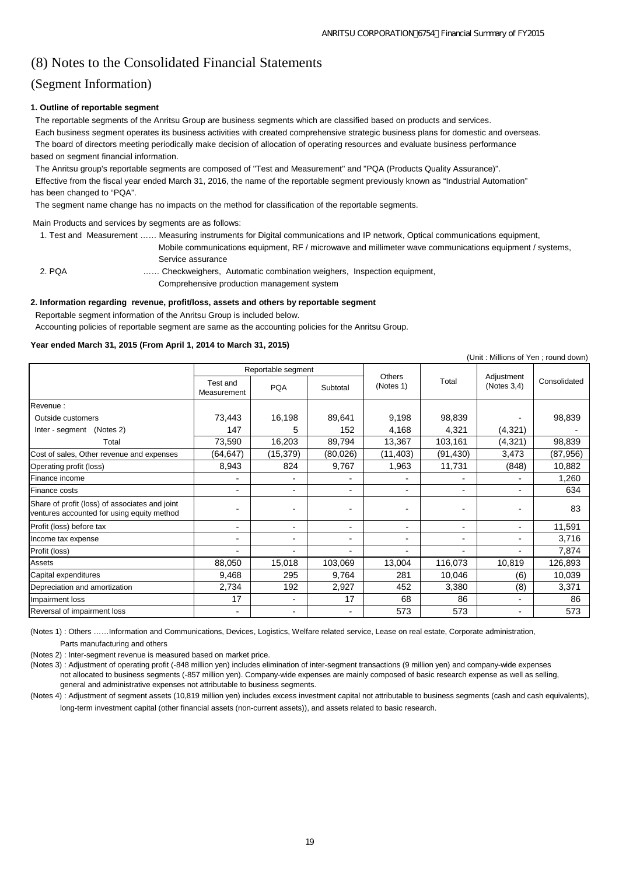# (8) Notes to the Consolidated Financial Statements

## (Segment Information)

#### **1. Outline of reportable segment**

 The reportable segments of the Anritsu Group are business segments which are classified based on products and services. Each business segment operates its business activities with created comprehensive strategic business plans for domestic and overseas. The board of directors meeting periodically make decision of allocation of operating resources and evaluate business performance based on segment financial information.

The Anritsu group's reportable segments are composed of "Test and Measurement" and "PQA (Products Quality Assurance)".

 Effective from the fiscal year ended March 31, 2016, the name of the reportable segment previously known as "Industrial Automation" has been changed to "PQA".

The segment name change has no impacts on the method for classification of the reportable segments.

Main Products and services by segments are as follows:

|        | 1. Test and Measurement  Measuring instruments for Digital communications and IP network, Optical communications equipment, |
|--------|-----------------------------------------------------------------------------------------------------------------------------|
|        | Mobile communications equipment, RF / microwave and millimeter wave communications equipment / systems,                     |
|        | Service assurance                                                                                                           |
| 2. POA | Checkweighers, Automatic combination weighers, Inspection equipment,                                                        |
|        | Comprehensive production management system                                                                                  |

#### **2. Information regarding revenue, profit/loss, assets and others by reportable segment**

Reportable segment information of the Anritsu Group is included below.

Accounting policies of reportable segment are same as the accounting policies for the Anritsu Group.

#### **Year ended March 31, 2015 (From April 1, 2014 to March 31, 2015)**

|                                                                                              |                         |                    |                          |                          |          |                           | (Unit: Millions of Yen; round down) |
|----------------------------------------------------------------------------------------------|-------------------------|--------------------|--------------------------|--------------------------|----------|---------------------------|-------------------------------------|
|                                                                                              |                         | Reportable segment |                          |                          |          |                           |                                     |
|                                                                                              | Test and<br>Measurement | <b>PQA</b>         | Subtotal                 | Others<br>(Notes 1)      | Total    | Adjustment<br>(Notes 3,4) | Consolidated                        |
| Revenue:                                                                                     |                         |                    |                          |                          |          |                           |                                     |
| Outside customers                                                                            | 73,443                  | 16,198             | 89,641                   | 9,198                    | 98,839   |                           | 98,839                              |
| (Notes 2)<br>Inter - segment                                                                 | 147                     | 5                  | 152                      | 4,168                    | 4,321    | (4,321)                   |                                     |
| Total                                                                                        | 73,590                  | 16,203             | 89,794                   | 13,367                   | 103,161  | (4,321)                   | 98,839                              |
| Cost of sales, Other revenue and expenses                                                    | (64, 647)               | (15, 379)          | (80,026)                 | (11, 403)                | (91,430) | 3,473                     | (87, 956)                           |
| Operating profit (loss)                                                                      | 8,943                   | 824                | 9,767                    | 1,963                    | 11,731   | (848)                     | 10,882                              |
| Finance income                                                                               |                         |                    |                          |                          |          |                           | 1,260                               |
| Finance costs                                                                                |                         |                    |                          | $\blacksquare$           | -        |                           | 634                                 |
| Share of profit (loss) of associates and joint<br>ventures accounted for using equity method |                         |                    |                          | $\blacksquare$           |          |                           | 83                                  |
| Profit (loss) before tax                                                                     |                         |                    | $\overline{\phantom{0}}$ | $\overline{\phantom{a}}$ | ۰.       | -                         | 11,591                              |
| Income tax expense                                                                           |                         |                    |                          | $\blacksquare$           | ۰        |                           | 3,716                               |
| Profit (loss)                                                                                |                         |                    |                          | $\blacksquare$           |          |                           | 7,874                               |
| <b>Assets</b>                                                                                | 88,050                  | 15,018             | 103,069                  | 13,004                   | 116,073  | 10,819                    | 126,893                             |
| Capital expenditures                                                                         | 9,468                   | 295                | 9,764                    | 281                      | 10,046   | (6)                       | 10,039                              |
| Depreciation and amortization                                                                | 2,734                   | 192                | 2,927                    | 452                      | 3,380    | (8)                       | 3,371                               |
| Impairment loss                                                                              | 17                      | $\blacksquare$     | 17                       | 68                       | 86       | $\blacksquare$            | 86                                  |
| Reversal of impairment loss                                                                  |                         |                    |                          | 573                      | 573      | $\blacksquare$            | 573                                 |

(Notes 1) : Others ……Information and Communications, Devices, Logistics, Welfare related service, Lease on real estate, Corporate administration, Parts manufacturing and others

(Notes 2) : Inter-segment revenue is measured based on market price.

(Notes 3) : Adjustment of operating profit (-848 million yen) includes elimination of inter-segment transactions (9 million yen) and company-wide expenses not allocated to business segments (-857 million yen). Company-wide expenses are mainly composed of basic research expense as well as selling, general and administrative expenses not attributable to business segments.

(Notes 4) : Adjustment of segment assets (10,819 million yen) includes excess investment capital not attributable to business segments (cash and cash equivalents), long-term investment capital (other financial assets (non-current assets)), and assets related to basic research.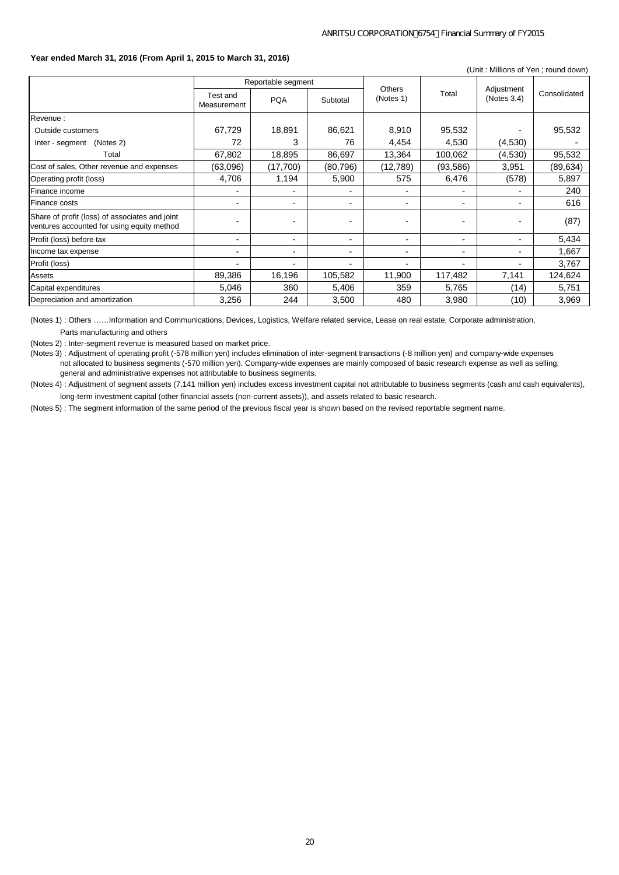#### **Year ended March 31, 2016 (From April 1, 2015 to March 31, 2016)**

(Unit : Millions of Yen ; round down)

|                                                                                              | Reportable segment       |                          |          | <b>Others</b>            |                          |                           |              |
|----------------------------------------------------------------------------------------------|--------------------------|--------------------------|----------|--------------------------|--------------------------|---------------------------|--------------|
|                                                                                              | Test and<br>Measurement  | <b>PQA</b>               | Subtotal | (Notes 1)                | Total                    | Adjustment<br>(Notes 3,4) | Consolidated |
| Revenue:                                                                                     |                          |                          |          |                          |                          |                           |              |
| Outside customers                                                                            | 67,729                   | 18,891                   | 86,621   | 8,910                    | 95,532                   |                           | 95,532       |
| (Notes 2)<br>Inter - segment                                                                 | 72                       | 3                        | 76       | 4,454                    | 4,530                    | (4,530)                   |              |
| Total                                                                                        | 67,802                   | 18,895                   | 86,697   | 13,364                   | 100,062                  | (4,530)                   | 95,532       |
| Cost of sales, Other revenue and expenses                                                    | (63,096)                 | (17,700)                 | (80,796) | (12,789)                 | (93, 586)                | 3,951                     | (89, 634)    |
| Operating profit (loss)                                                                      | 4,706                    | 1,194                    | 5,900    | 575                      | 6,476                    | (578)                     | 5,897        |
| Finance income                                                                               |                          | $\overline{\phantom{0}}$ |          | $\blacksquare$           | $\overline{\phantom{0}}$ | $\overline{\phantom{0}}$  | 240          |
| Finance costs                                                                                |                          | $\blacksquare$           |          | $\blacksquare$           | ۰.                       | $\blacksquare$            | 616          |
| Share of profit (loss) of associates and joint<br>ventures accounted for using equity method |                          |                          |          | $\blacksquare$           | -                        |                           | (87)         |
| Profit (loss) before tax                                                                     | $\overline{\phantom{a}}$ | $\blacksquare$           | -        | ۰                        | ۰.                       | $\overline{\phantom{0}}$  | 5,434        |
| Income tax expense                                                                           | $\overline{\phantom{0}}$ | $\blacksquare$           |          | $\overline{\phantom{0}}$ | ۰.                       | $\blacksquare$            | 1,667        |
| Profit (loss)                                                                                |                          | $\blacksquare$           |          | ۰                        | ۰                        | -                         | 3,767        |
| Assets                                                                                       | 89,386                   | 16,196                   | 105,582  | 11,900                   | 117,482                  | 7,141                     | 124,624      |
| Capital expenditures                                                                         | 5,046                    | 360                      | 5,406    | 359                      | 5,765                    | (14)                      | 5,751        |
| Depreciation and amortization                                                                | 3,256                    | 244                      | 3,500    | 480                      | 3,980                    | (10)                      | 3,969        |

(Notes 1) : Others ……Information and Communications, Devices, Logistics, Welfare related service, Lease on real estate, Corporate administration, Parts manufacturing and others

(Notes 2) : Inter-segment revenue is measured based on market price.

(Notes 3) : Adjustment of operating profit (-578 million yen) includes elimination of inter-segment transactions (-8 million yen) and company-wide expenses not allocated to business segments (-570 million yen). Company-wide expenses are mainly composed of basic research expense as well as selling, general and administrative expenses not attributable to business segments.

(Notes 4) : Adjustment of segment assets (7,141 million yen) includes excess investment capital not attributable to business segments (cash and cash equivalents), long-term investment capital (other financial assets (non-current assets)), and assets related to basic research.

(Notes 5) : The segment information of the same period of the previous fiscal year is shown based on the revised reportable segment name.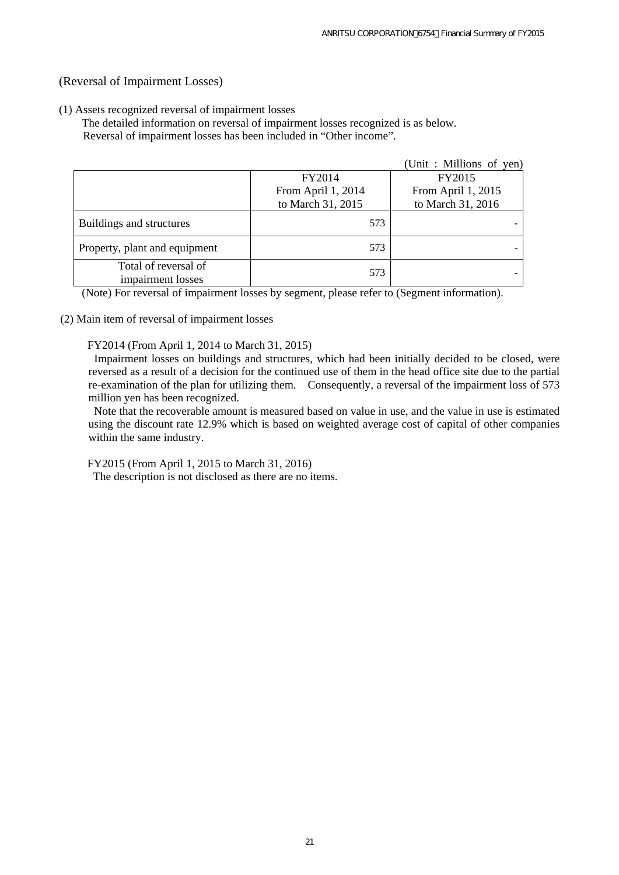## (Reversal of Impairment Losses)

### (1) Assets recognized reversal of impairment losses

 The detailed information on reversal of impairment losses recognized is as below. Reversal of impairment losses has been included in "Other income".

|                                           |                    | (Unit: Millions of yen) |
|-------------------------------------------|--------------------|-------------------------|
|                                           | FY2014             | FY2015                  |
|                                           | From April 1, 2014 | From April 1, 2015      |
|                                           | to March 31, 2015  | to March 31, 2016       |
| Buildings and structures                  | 573                |                         |
| Property, plant and equipment             | 573                |                         |
| Total of reversal of<br>impairment losses | 573                |                         |

(Note) For reversal of impairment losses by segment, please refer to (Segment information).

(2) Main item of reversal of impairment losses

FY2014 (From April 1, 2014 to March 31, 2015)

Impairment losses on buildings and structures, which had been initially decided to be closed, were reversed as a result of a decision for the continued use of them in the head office site due to the partial re-examination of the plan for utilizing them. Consequently, a reversal of the impairment loss of 573 million yen has been recognized.

Note that the recoverable amount is measured based on value in use, and the value in use is estimated using the discount rate 12.9% which is based on weighted average cost of capital of other companies within the same industry.

FY2015 (From April 1, 2015 to March 31, 2016)

The description is not disclosed as there are no items.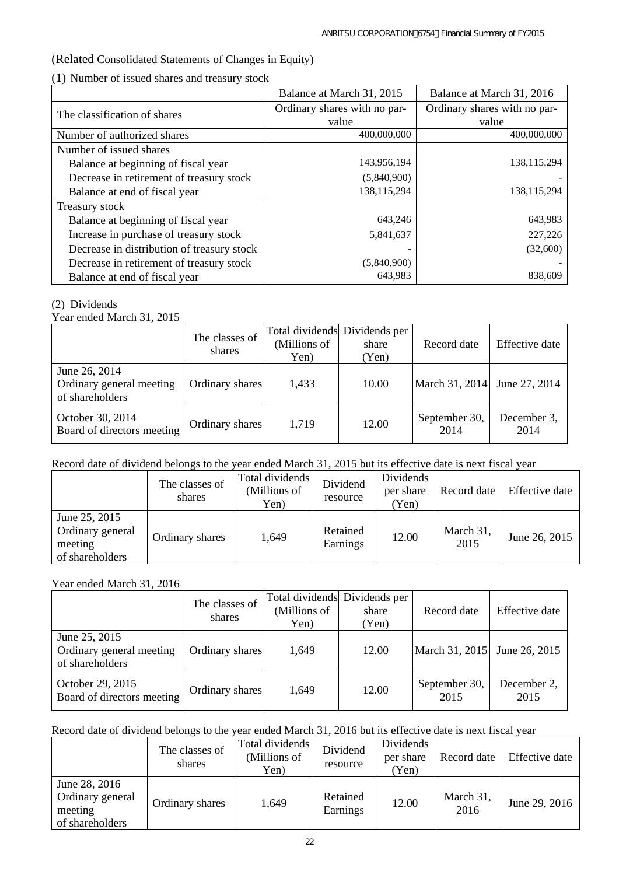## (Related Consolidated Statements of Changes in Equity)

(1) Number of issued shares and treasury stock

|                                            | Balance at March 31, 2015    | Balance at March 31, 2016    |
|--------------------------------------------|------------------------------|------------------------------|
| The classification of shares               | Ordinary shares with no par- | Ordinary shares with no par- |
|                                            | value                        | value                        |
| Number of authorized shares                | 400,000,000                  | 400,000,000                  |
| Number of issued shares                    |                              |                              |
| Balance at beginning of fiscal year        | 143,956,194                  | 138, 115, 294                |
| Decrease in retirement of treasury stock   | (5,840,900)                  |                              |
| Balance at end of fiscal year              | 138,115,294                  | 138, 115, 294                |
| Treasury stock                             |                              |                              |
| Balance at beginning of fiscal year        | 643,246                      | 643,983                      |
| Increase in purchase of treasury stock     | 5,841,637                    | 227,226                      |
| Decrease in distribution of treasury stock |                              | (32,600)                     |
| Decrease in retirement of treasury stock   | (5,840,900)                  |                              |
| Balance at end of fiscal year              | 643,983                      | 838,609                      |

### (2) Dividends

Year ended March 31, 2015

|                                                              | The classes of<br>shares | Total dividends Dividends per<br>(Millions of<br>Yen) | share<br>(Yen) | Record date           | Effective date      |
|--------------------------------------------------------------|--------------------------|-------------------------------------------------------|----------------|-----------------------|---------------------|
| June 26, 2014<br>Ordinary general meeting<br>of shareholders | Ordinary shares          | 1,433                                                 | 10.00          | March 31, 2014        | June 27, 2014       |
| October 30, 2014<br>Board of directors meeting               | Ordinary shares          | 1,719                                                 | 12.00          | September 30,<br>2014 | December 3,<br>2014 |

## Record date of dividend belongs to the year ended March 31, 2015 but its effective date is next fiscal year

|                                                                 | The classes of<br>shares | Total dividends<br>(Millions of<br>Yen) | Dividend<br>resource | Dividends<br>per share<br>Yen) | Record date       | Effective date |
|-----------------------------------------------------------------|--------------------------|-----------------------------------------|----------------------|--------------------------------|-------------------|----------------|
| June 25, 2015<br>Ordinary general<br>meeting<br>of shareholders | Ordinary shares          | 1,649                                   | Retained<br>Earnings | 12.00                          | March 31,<br>2015 | June 26, 2015  |

## Year ended March 31, 2016

|                                                              | The classes of<br>shares | Total dividends Dividends per<br>(Millions of<br>Yen) | share<br>(Yen) | Record date                  | Effective date      |
|--------------------------------------------------------------|--------------------------|-------------------------------------------------------|----------------|------------------------------|---------------------|
| June 25, 2015<br>Ordinary general meeting<br>of shareholders | Ordinary shares          | 1,649                                                 | 12.00          | March 31, 2015 June 26, 2015 |                     |
| October 29, 2015<br>Board of directors meeting               | Ordinary shares          | 1,649                                                 | 12.00          | September 30,<br>2015        | December 2,<br>2015 |

## Record date of dividend belongs to the year ended March 31, 2016 but its effective date is next fiscal year

|                                                                 | The classes of<br>shares | Total dividends<br>(Millions of<br>Yen) | Dividend<br>resource | Dividends<br>per share<br>Yen) | Record date       | Effective date |
|-----------------------------------------------------------------|--------------------------|-----------------------------------------|----------------------|--------------------------------|-------------------|----------------|
| June 28, 2016<br>Ordinary general<br>meeting<br>of shareholders | Ordinary shares          | 1,649                                   | Retained<br>Earnings | 12.00                          | March 31,<br>2016 | June 29, 2016  |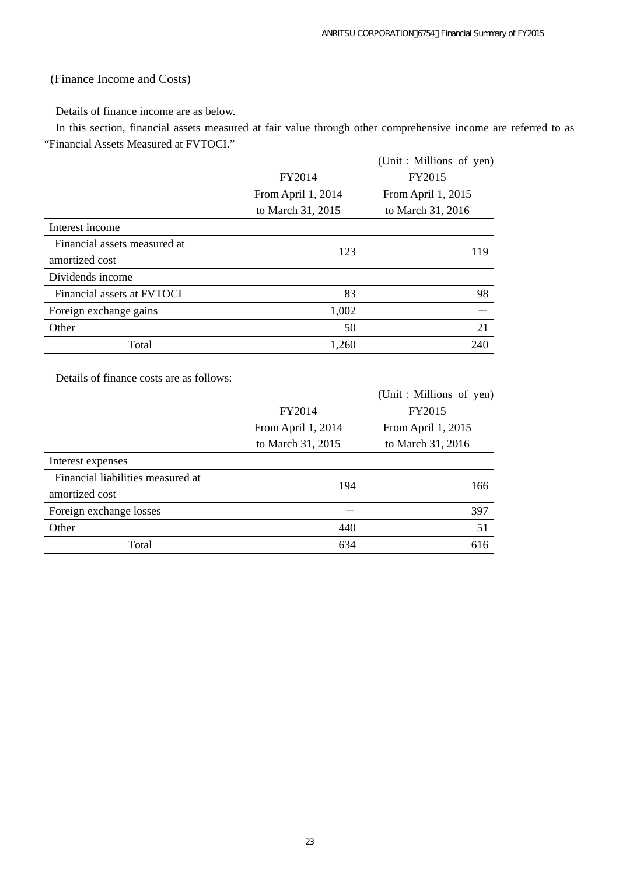## (Finance Income and Costs)

Details of finance income are as below.

In this section, financial assets measured at fair value through other comprehensive income are referred to as "Financial Assets Measured at FVTOCI."

|                              |                    | (Unit: Millions of yen) |
|------------------------------|--------------------|-------------------------|
|                              | FY2014             | FY2015                  |
|                              | From April 1, 2014 | From April 1, 2015      |
|                              | to March 31, 2015  | to March 31, 2016       |
| Interest income              |                    |                         |
| Financial assets measured at | 123                | 119                     |
| amortized cost               |                    |                         |
| Dividends income             |                    |                         |
| Financial assets at FVTOCI   | 83                 | 98                      |
| Foreign exchange gains       | 1,002              |                         |
| Other                        | 50                 | 21                      |
| Total                        | 1,260              | 240                     |

Details of finance costs are as follows:

 $(Unit:Millions of ven)$ 

|                                   |                    | $\sqrt{2}$ and $\sqrt{2}$ and $\sqrt{2}$ and $\sqrt{2}$ |
|-----------------------------------|--------------------|---------------------------------------------------------|
|                                   | FY2014             | FY2015                                                  |
|                                   | From April 1, 2014 | From April 1, 2015                                      |
|                                   | to March 31, 2015  | to March 31, 2016                                       |
| Interest expenses                 |                    |                                                         |
| Financial liabilities measured at | 194                | 166                                                     |
| amortized cost                    |                    |                                                         |
| Foreign exchange losses           |                    | 397                                                     |
| Other                             | 440                | 51                                                      |
| Total                             | 634                | 616                                                     |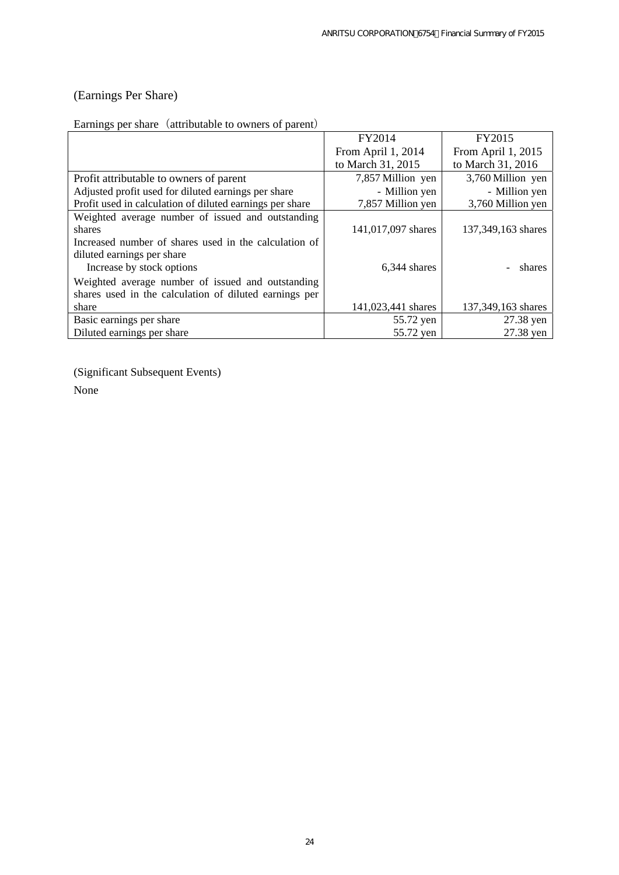## (Earnings Per Share)

# Earnings per share (attributable to owners of parent)

|                                                          | FY2014             | FY2015             |
|----------------------------------------------------------|--------------------|--------------------|
|                                                          | From April 1, 2014 | From April 1, 2015 |
|                                                          | to March 31, 2015  | to March 31, 2016  |
| Profit attributable to owners of parent                  | 7,857 Million yen  | 3,760 Million yen  |
| Adjusted profit used for diluted earnings per share      | - Million yen      | - Million yen      |
| Profit used in calculation of diluted earnings per share | 7,857 Million yen  | 3,760 Million yen  |
| Weighted average number of issued and outstanding        |                    |                    |
| shares                                                   | 141,017,097 shares | 137,349,163 shares |
| Increased number of shares used in the calculation of    |                    |                    |
| diluted earnings per share                               |                    |                    |
| Increase by stock options                                | 6.344 shares       | shares             |
| Weighted average number of issued and outstanding        |                    |                    |
| shares used in the calculation of diluted earnings per   |                    |                    |
| share                                                    | 141,023,441 shares | 137,349,163 shares |
| Basic earnings per share                                 | 55.72 yen          | 27.38 yen          |
| Diluted earnings per share                               | 55.72 yen          | 27.38 yen          |

(Significant Subsequent Events)

None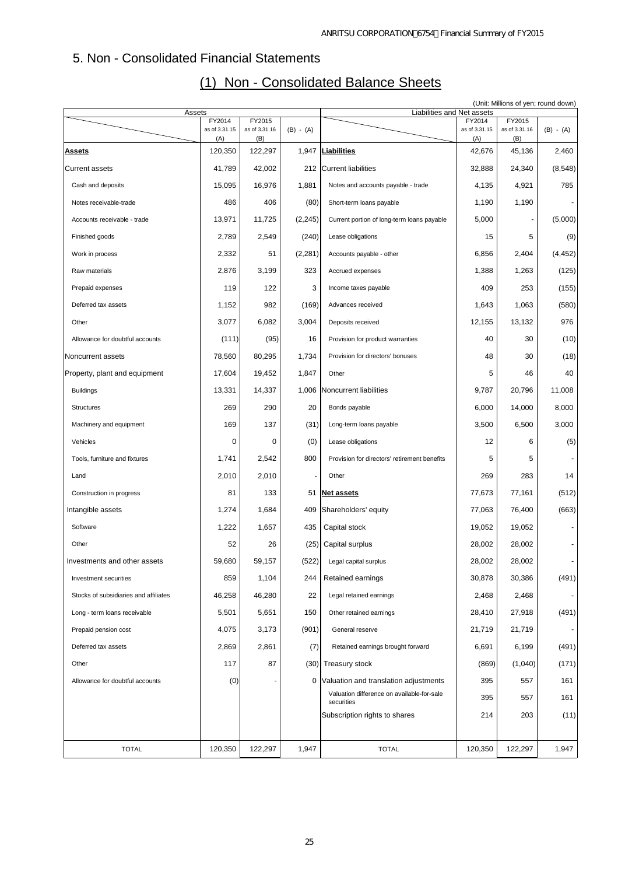# 5. Non - Consolidated Financial Statements

| Assets                                |                      |                      |             | Liabilities and Net assets                               |                      |                      | (Unit: Millions of yen; round down) |
|---------------------------------------|----------------------|----------------------|-------------|----------------------------------------------------------|----------------------|----------------------|-------------------------------------|
|                                       | FY2014               | FY2015               |             |                                                          | FY2014               | FY2015               |                                     |
|                                       | as of 3.31.15<br>(A) | as of 3.31.16<br>(B) | $(B) - (A)$ |                                                          | as of 3.31.15<br>(A) | as of 3.31.16<br>(B) | $(B) - (A)$                         |
| <u>Assets</u>                         | 120,350              | 122,297              |             | 1,947 Liabilities                                        | 42,676               | 45,136               | 2,460                               |
| <b>Current assets</b>                 | 41,789               | 42,002               | 212         | Current liabilities                                      | 32,888               | 24,340               | (8, 548)                            |
| Cash and deposits                     | 15,095               | 16,976               | 1,881       | Notes and accounts payable - trade                       | 4,135                | 4,921                | 785                                 |
| Notes receivable-trade                | 486                  | 406                  | (80)        | Short-term loans payable                                 | 1,190                | 1,190                |                                     |
| Accounts receivable - trade           | 13,971               | 11,725               | (2, 245)    | Current portion of long-term loans payable               | 5,000                |                      | (5,000)                             |
| Finished goods                        | 2,789                | 2,549                | (240)       | Lease obligations                                        | 15                   | 5                    | (9)                                 |
| Work in process                       | 2,332                | 51                   | (2, 281)    | Accounts payable - other                                 | 6,856                | 2,404                | (4, 452)                            |
| Raw materials                         | 2,876                | 3,199                | 323         | Accrued expenses                                         | 1,388                | 1,263                | (125)                               |
| Prepaid expenses                      | 119                  | 122                  | 3           | Income taxes payable                                     | 409                  | 253                  | (155)                               |
| Deferred tax assets                   | 1,152                | 982                  | (169)       | Advances received                                        | 1,643                | 1,063                | (580)                               |
| Other                                 | 3,077                | 6,082                | 3,004       | Deposits received                                        | 12,155               | 13,132               | 976                                 |
| Allowance for doubtful accounts       | (111)                | (95)                 | 16          | Provision for product warranties                         | 40                   | 30                   | (10)                                |
| Noncurrent assets                     | 78,560               | 80,295               | 1,734       | Provision for directors' bonuses                         | 48                   | 30                   | (18)                                |
| Property, plant and equipment         | 17,604               | 19,452               | 1,847       | Other                                                    | 5                    | 46                   | 40                                  |
| <b>Buildings</b>                      | 13,331               | 14,337               | 1,006       | Noncurrent liabilities                                   | 9,787                | 20,796               | 11,008                              |
| Structures                            | 269                  | 290                  | 20          | Bonds payable                                            | 6,000                | 14,000               | 8,000                               |
| Machinery and equipment               | 169                  | 137                  | (31)        | Long-term loans payable                                  | 3,500                | 6,500                | 3,000                               |
| Vehicles                              | 0                    | 0                    | (0)         | Lease obligations                                        | 12                   | 6                    | (5)                                 |
| Tools, furniture and fixtures         | 1,741                | 2,542                | 800         | Provision for directors' retirement benefits             | 5                    | 5                    |                                     |
| Land                                  | 2,010                | 2,010                |             | Other                                                    | 269                  | 283                  | 14                                  |
| Construction in progress              | 81                   | 133                  |             | 51 Net assets                                            | 77,673               | 77,161               | (512)                               |
| Intangible assets                     | 1,274                | 1,684                | 409         | Shareholders' equity                                     | 77,063               | 76,400               | (663)                               |
| Software                              | 1,222                | 1,657                | 435         | Capital stock                                            | 19,052               | 19,052               |                                     |
| Other                                 | 52                   | 26                   | (25)        | Capital surplus                                          | 28,002               | 28,002               |                                     |
| Investments and other assets          | 59,680               | 59,157               | (522)       | Legal capital surplus                                    | 28,002               | 28,002               |                                     |
| Investment securities                 | 859                  | 1,104                | 244         | Retained earnings                                        | 30,878               | 30,386               | (491)                               |
| Stocks of subsidiaries and affiliates | 46,258               | 46,280               | 22          | Legal retained earnings                                  | 2,468                | 2,468                |                                     |
| Long - term loans receivable          | 5,501                | 5,651                | 150         | Other retained earnings                                  | 28,410               | 27,918               | (491)                               |
| Prepaid pension cost                  | 4,075                | 3,173                | (901)       | General reserve                                          | 21,719               | 21,719               |                                     |
| Deferred tax assets                   | 2,869                | 2,861                | (7)         | Retained earnings brought forward                        | 6,691                | 6,199                | (491)                               |
| Other                                 | 117                  | 87                   | (30)        | <b>Treasury stock</b>                                    | (869)                | (1,040)              | (171)                               |
| Allowance for doubtful accounts       | (0)                  |                      | 0           | Valuation and translation adjustments                    | 395                  | 557                  | 161                                 |
|                                       |                      |                      |             | Valuation difference on available-for-sale<br>securities | 395                  | 557                  | 161                                 |
|                                       |                      |                      |             | Subscription rights to shares                            | 214                  | 203                  | (11)                                |
|                                       |                      |                      |             |                                                          |                      |                      |                                     |
| <b>TOTAL</b>                          | 120,350              | 122,297              | 1,947       | <b>TOTAL</b>                                             | 120,350              | 122,297              | 1,947                               |

# (1) Non - Consolidated Balance Sheets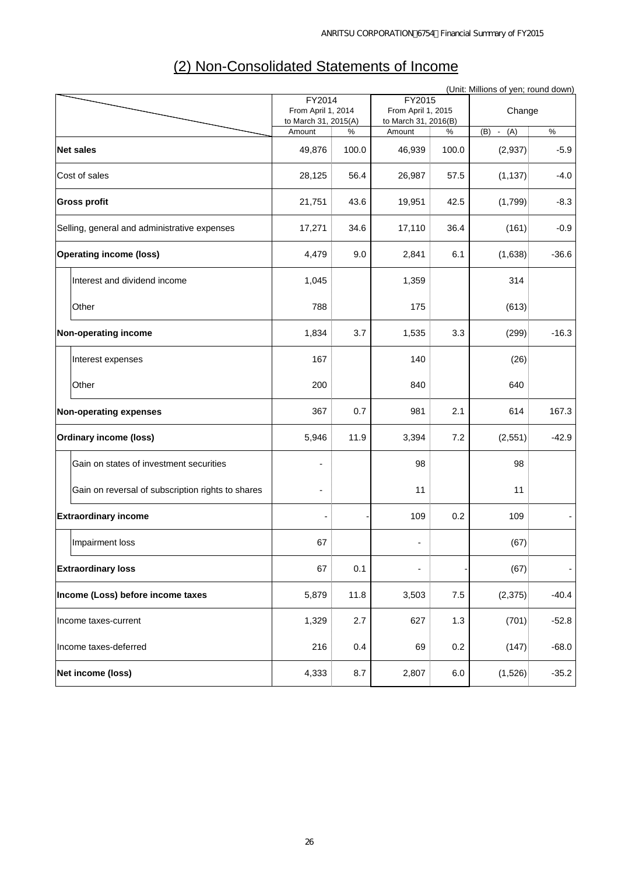|                                                   |                                            |       |                                            |         | (Unit: Millions of yen; round down) |         |
|---------------------------------------------------|--------------------------------------------|-------|--------------------------------------------|---------|-------------------------------------|---------|
|                                                   | FY2014                                     |       | FY2015                                     |         |                                     |         |
|                                                   | From April 1, 2014<br>to March 31, 2015(A) |       | From April 1, 2015<br>to March 31, 2016(B) |         | Change                              |         |
|                                                   | Amount                                     | %     | Amount                                     | %       | (A)<br>(B)<br>$\sim$                | $\%$    |
| <b>Net sales</b>                                  | 49,876                                     | 100.0 | 46,939                                     | 100.0   | (2,937)                             | $-5.9$  |
| Cost of sales                                     | 28,125                                     | 56.4  | 26,987                                     | 57.5    | (1, 137)                            | $-4.0$  |
| <b>Gross profit</b>                               | 21,751                                     | 43.6  | 19,951                                     | 42.5    | (1,799)                             | $-8.3$  |
| Selling, general and administrative expenses      | 17,271                                     | 34.6  | 17,110                                     | 36.4    | (161)                               | $-0.9$  |
| <b>Operating income (loss)</b>                    | 4,479                                      | 9.0   | 2,841                                      | 6.1     | (1,638)                             | $-36.6$ |
| Interest and dividend income                      | 1,045                                      |       | 1,359                                      |         | 314                                 |         |
| Other                                             | 788                                        |       | 175                                        |         | (613)                               |         |
| Non-operating income                              | 1,834                                      | 3.7   | 1,535                                      | 3.3     | (299)                               | $-16.3$ |
| Interest expenses                                 | 167                                        |       | 140                                        |         | (26)                                |         |
| Other                                             | 200                                        |       | 840                                        |         | 640                                 |         |
| Non-operating expenses                            | 367                                        | 0.7   | 981                                        | 2.1     | 614                                 | 167.3   |
| <b>Ordinary income (loss)</b>                     | 5,946                                      | 11.9  | 3,394                                      | 7.2     | (2,551)                             | $-42.9$ |
| Gain on states of investment securities           | ٠                                          |       | 98                                         |         | 98                                  |         |
| Gain on reversal of subscription rights to shares |                                            |       | 11                                         |         | 11                                  |         |
| <b>Extraordinary income</b>                       |                                            |       | 109                                        | 0.2     | 109                                 |         |
| Impairment loss                                   | 67                                         |       |                                            |         | (67)                                |         |
| <b>Extraordinary loss</b>                         | 67                                         | 0.1   | $\overline{\phantom{a}}$                   |         | (67)                                |         |
| Income (Loss) before income taxes                 | 5,879                                      | 11.8  | 3,503                                      | 7.5     | (2,375)                             | $-40.4$ |
| Income taxes-current                              | 1,329                                      | 2.7   | 627                                        | 1.3     | (701)                               | $-52.8$ |
| Income taxes-deferred                             | 216                                        | 0.4   | 69                                         | 0.2     | (147)                               | $-68.0$ |
| Net income (loss)                                 | 4,333                                      | 8.7   | 2,807                                      | $6.0\,$ | (1,526)                             | $-35.2$ |

# (2) Non-Consolidated Statements of Income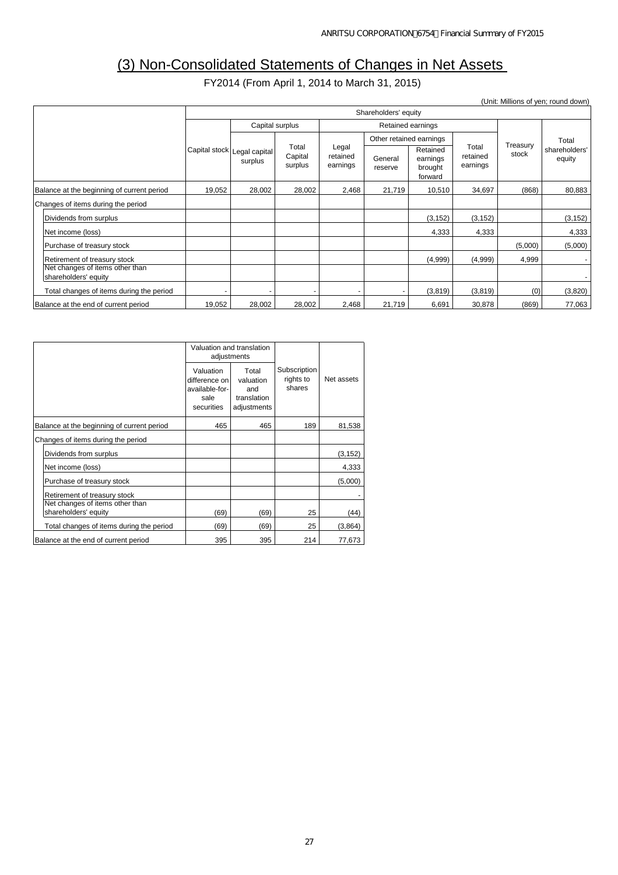# (3) Non-Consolidated Statements of Changes in Net Assets

FY2014 (From April 1, 2014 to March 31, 2015)

(Unit: Millions of yen; round down)

|                                                                 |                                        | Shareholders' equity                 |                               |                    |                                            |                               |                   |                         |          |
|-----------------------------------------------------------------|----------------------------------------|--------------------------------------|-------------------------------|--------------------|--------------------------------------------|-------------------------------|-------------------|-------------------------|----------|
|                                                                 |                                        | Capital surplus<br>Retained earnings |                               |                    |                                            |                               |                   |                         |          |
|                                                                 |                                        |                                      |                               |                    | Other retained earnings                    |                               |                   |                         | Total    |
|                                                                 | Capital stock Legal capital<br>surplus | Total<br>Capital<br>surplus          | Legal<br>retained<br>earnings | General<br>reserve | Retained<br>earnings<br>brought<br>forward | Total<br>retained<br>earnings | Treasury<br>stock | shareholders'<br>equity |          |
| Balance at the beginning of current period                      | 19,052                                 | 28,002                               | 28,002                        | 2,468              | 21,719                                     | 10,510                        | 34,697            | (868)                   | 80,883   |
| Changes of items during the period                              |                                        |                                      |                               |                    |                                            |                               |                   |                         |          |
| Dividends from surplus                                          |                                        |                                      |                               |                    |                                            | (3, 152)                      | (3, 152)          |                         | (3, 152) |
| Net income (loss)                                               |                                        |                                      |                               |                    |                                            | 4,333                         | 4,333             |                         | 4,333    |
| Purchase of treasury stock                                      |                                        |                                      |                               |                    |                                            |                               |                   | (5,000)                 | (5,000)  |
| Retirement of treasury stock<br>Net changes of items other than |                                        |                                      |                               |                    |                                            | (4,999)                       | (4,999)           | 4,999                   |          |
| shareholders' equity                                            |                                        |                                      |                               |                    |                                            |                               |                   |                         |          |
| Total changes of items during the period                        |                                        |                                      |                               |                    |                                            | (3,819)                       | (3,819)           | (0)                     | (3,820)  |
| Balance at the end of current period                            | 19,052                                 | 28,002                               | 28,002                        | 2,468              | 21,719                                     | 6,691                         | 30,878            | (869)                   | 77,063   |

|                                                         |                                                                    | Valuation and translation<br>adjustments                |                                     |            |  |
|---------------------------------------------------------|--------------------------------------------------------------------|---------------------------------------------------------|-------------------------------------|------------|--|
|                                                         | Valuation<br>difference on<br>available-for-<br>sale<br>securities | Total<br>valuation<br>and<br>translation<br>adjustments | Subscription<br>rights to<br>shares | Net assets |  |
| Balance at the beginning of current period              | 465                                                                | 465                                                     | 189                                 | 81,538     |  |
| Changes of items during the period                      |                                                                    |                                                         |                                     |            |  |
| Dividends from surplus                                  |                                                                    |                                                         |                                     | (3, 152)   |  |
| Net income (loss)                                       |                                                                    |                                                         |                                     | 4,333      |  |
| Purchase of treasury stock                              |                                                                    |                                                         |                                     | (5,000)    |  |
| Retirement of treasury stock                            |                                                                    |                                                         |                                     |            |  |
| Net changes of items other than<br>shareholders' equity | (69)                                                               | (69)                                                    | 25                                  | (44)       |  |
| Total changes of items during the period                | (69)                                                               | (69)                                                    | 25                                  | (3,864)    |  |
| Balance at the end of current period                    | 395                                                                | 395                                                     | 214                                 | 77,673     |  |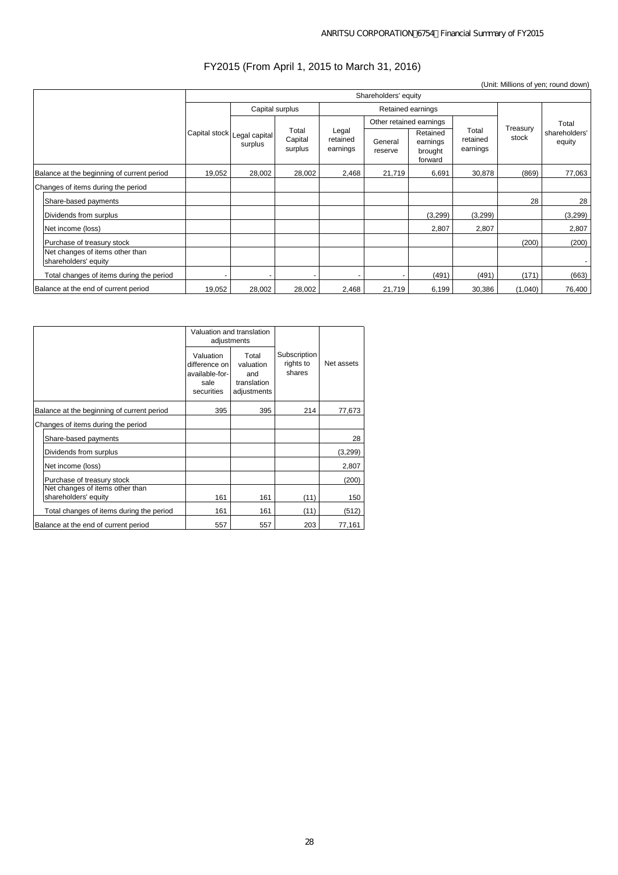## FY2015 (From April 1, 2015 to March 31, 2016)

|                                                         |               |                          |                             |                               |                         |                                            |                               |                   | (Unit: Millions of yen; round down) |
|---------------------------------------------------------|---------------|--------------------------|-----------------------------|-------------------------------|-------------------------|--------------------------------------------|-------------------------------|-------------------|-------------------------------------|
|                                                         |               | Shareholders' equity     |                             |                               |                         |                                            |                               |                   |                                     |
|                                                         |               |                          | Capital surplus             |                               |                         | Retained earnings                          |                               |                   |                                     |
|                                                         |               |                          |                             |                               | Other retained earnings |                                            |                               |                   | Total                               |
|                                                         | Capital stock | Legal capital<br>surplus | Total<br>Capital<br>surplus | Legal<br>retained<br>earnings | General<br>reserve      | Retained<br>earnings<br>brought<br>forward | Total<br>retained<br>earnings | Treasury<br>stock | shareholders'<br>equity             |
| Balance at the beginning of current period              | 19,052        | 28,002                   | 28,002                      | 2,468                         | 21,719                  | 6,691                                      | 30,878                        | (869)             | 77,063                              |
| Changes of items during the period                      |               |                          |                             |                               |                         |                                            |                               |                   |                                     |
| Share-based payments                                    |               |                          |                             |                               |                         |                                            |                               | 28                | 28                                  |
| Dividends from surplus                                  |               |                          |                             |                               |                         | (3,299)                                    | (3,299)                       |                   | (3,299)                             |
| Net income (loss)                                       |               |                          |                             |                               |                         | 2,807                                      | 2,807                         |                   | 2,807                               |
| Purchase of treasury stock                              |               |                          |                             |                               |                         |                                            |                               | (200)             | (200)                               |
| Net changes of items other than<br>shareholders' equity |               |                          |                             |                               |                         |                                            |                               |                   |                                     |
| Total changes of items during the period                |               |                          |                             |                               |                         | (491)                                      | (491)                         | (171)             | (663)                               |
| Balance at the end of current period                    | 19,052        | 28,002                   | 28,002                      | 2,468                         | 21,719                  | 6,199                                      | 30,386                        | (1,040)           | 76,400                              |

|                                            |                                                                    | Valuation and translation<br>adjustments                |                                     |            |
|--------------------------------------------|--------------------------------------------------------------------|---------------------------------------------------------|-------------------------------------|------------|
|                                            | Valuation<br>difference on<br>available-for-<br>sale<br>securities | Total<br>valuation<br>and<br>translation<br>adjustments | Subscription<br>rights to<br>shares | Net assets |
| Balance at the beginning of current period | 395                                                                | 395                                                     | 214                                 | 77,673     |
| Changes of items during the period         |                                                                    |                                                         |                                     |            |
| Share-based payments                       |                                                                    |                                                         |                                     | 28         |
| Dividends from surplus                     |                                                                    |                                                         |                                     | (3, 299)   |
| Net income (loss)                          |                                                                    |                                                         |                                     | 2,807      |
| Purchase of treasury stock                 |                                                                    |                                                         |                                     | (200)      |
| Net changes of items other than            |                                                                    |                                                         |                                     |            |
| shareholders' equity                       | 161                                                                | 161                                                     | (11)                                | 150        |
| Total changes of items during the period   | 161                                                                | 161                                                     | (11)                                | (512)      |
| Balance at the end of current period       | 557                                                                | 557                                                     | 203                                 | 77,161     |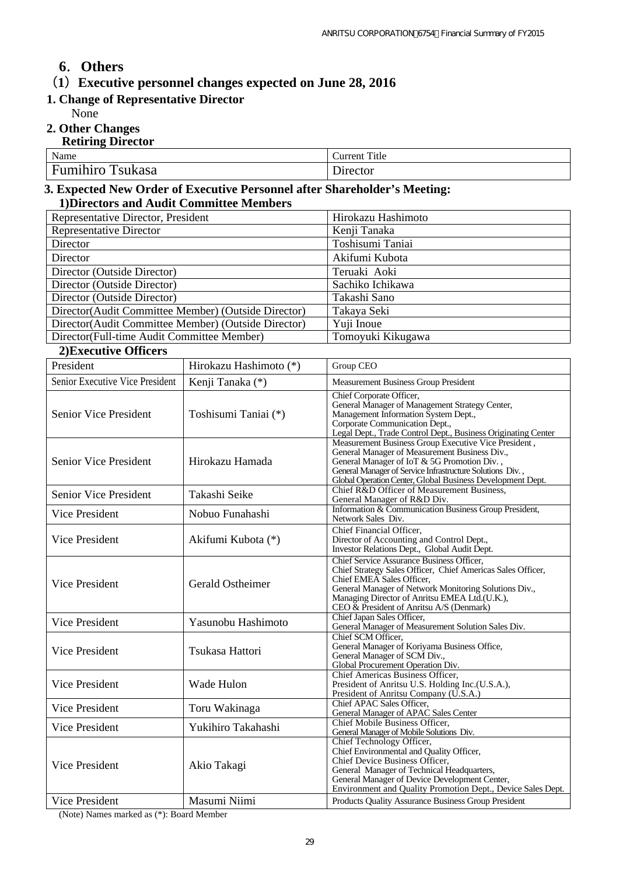# **6**.**Others**

(**1**)**Executive personnel changes expected on June 28, 2016** 

# **1. Change of Representative Director**

None

**2. Other Changes** 

| <b>Retiring Director</b> |               |
|--------------------------|---------------|
| Name                     | Current Title |
| <b>Fumihiro Tsukasa</b>  | Director      |

## **3. Expected New Order of Executive Personnel after Shareholder's Meeting: 1)Directors and Audit Committee Members**

| Representative Director, President                   | Hirokazu Hashimoto |
|------------------------------------------------------|--------------------|
| <b>Representative Director</b>                       | Kenji Tanaka       |
| Director                                             | Toshisumi Taniai   |
| Director                                             | Akifumi Kubota     |
| Director (Outside Director)                          | Teruaki Aoki       |
| Director (Outside Director)                          | Sachiko Ichikawa   |
| Director (Outside Director)                          | Takashi Sano       |
| Director (Audit Committee Member) (Outside Director) | Takaya Seki        |
| Director (Audit Committee Member) (Outside Director) | Yuji Inoue         |
| Director(Full-time Audit Committee Member)           | Tomoyuki Kikugawa  |

### **2)Executive Officers**

| President                       | Hirokazu Hashimoto (*) | Group CEO                                                                                                                                                                                                                                                                                   |
|---------------------------------|------------------------|---------------------------------------------------------------------------------------------------------------------------------------------------------------------------------------------------------------------------------------------------------------------------------------------|
| Senior Executive Vice President | Kenji Tanaka (*)       | <b>Measurement Business Group President</b>                                                                                                                                                                                                                                                 |
| Senior Vice President           | Toshisumi Taniai (*)   | Chief Corporate Officer,<br>General Manager of Management Strategy Center,<br>Management Information System Dept.,<br>Corporate Communication Dept.,<br>Legal Dept., Trade Control Dept., Business Originating Center                                                                       |
| Senior Vice President           | Hirokazu Hamada        | Measurement Business Group Executive Vice President,<br>General Manager of Measurement Business Div.,<br>General Manager of IoT & 5G Promotion Div.,<br>General Manager of Service Infrastructure Solutions Div.,<br>Global Operation Center, Global Business Development Dept.             |
| Senior Vice President           | Takashi Seike          | Chief R&D Officer of Measurement Business,<br>General Manager of R&D Div.                                                                                                                                                                                                                   |
| Vice President                  | Nobuo Funahashi        | Information & Communication Business Group President,<br>Network Sales Div.                                                                                                                                                                                                                 |
| Vice President                  | Akifumi Kubota (*)     | Chief Financial Officer.<br>Director of Accounting and Control Dept.,<br>Investor Relations Dept., Global Audit Dept.                                                                                                                                                                       |
| Vice President                  | Gerald Ostheimer       | Chief Service Assurance Business Officer,<br>Chief Strategy Sales Officer, Chief Americas Sales Officer,<br>Chief EMEA Sales Officer,<br>General Manager of Network Monitoring Solutions Div.,<br>Managing Director of Anritsu EMEA Ltd.(U.K.),<br>CEO & President of Anritsu A/S (Denmark) |
| <b>Vice President</b>           | Yasunobu Hashimoto     | Chief Japan Sales Officer,<br>General Manager of Measurement Solution Sales Div.                                                                                                                                                                                                            |
| <b>Vice President</b>           | Tsukasa Hattori        | Chief SCM Officer,<br>General Manager of Koriyama Business Office,<br>General Manager of SCM Div.,<br>Global Procurement Operation Div.                                                                                                                                                     |
| Vice President                  | Wade Hulon             | Chief Americas Business Officer,<br>President of Anritsu U.S. Holding Inc. (U.S.A.),<br>President of Anritsu Company (U.S.A.)                                                                                                                                                               |
| Vice President                  | Toru Wakinaga          | Chief APAC Sales Officer,<br>General Manager of APAC Sales Center                                                                                                                                                                                                                           |
| Vice President                  | Yukihiro Takahashi     | Chief Mobile Business Officer.<br>General Manager of Mobile Solutions Div.                                                                                                                                                                                                                  |
| Vice President                  | Akio Takagi            | Chief Technology Officer,<br>Chief Environmental and Quality Officer,<br>Chief Device Business Officer,<br>General Manager of Technical Headquarters,<br>General Manager of Device Development Center,<br>Environment and Quality Promotion Dept., Device Sales Dept.                       |
| Vice President                  | Masumi Niimi           | Products Quality Assurance Business Group President                                                                                                                                                                                                                                         |

(Note) Names marked as (\*): Board Member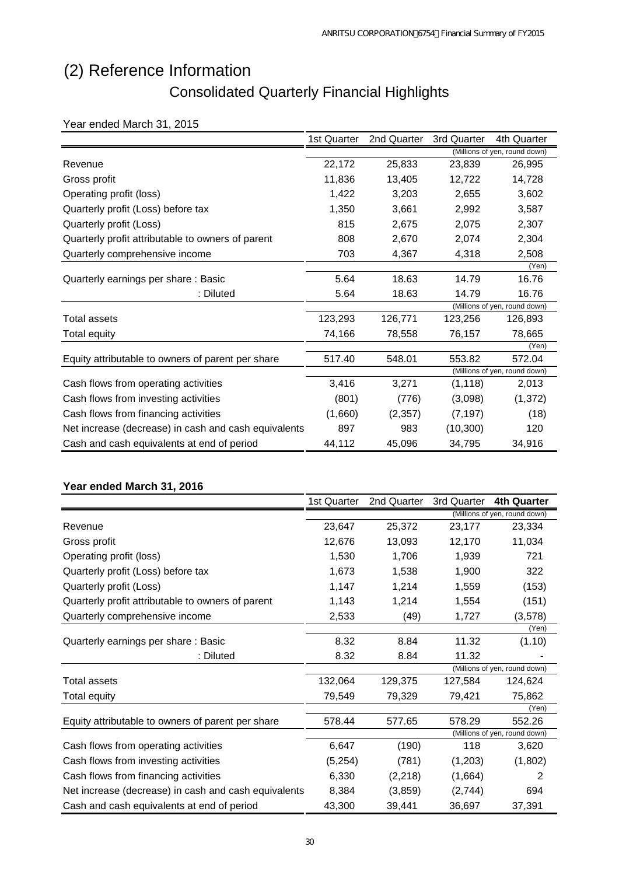# (2) Reference Information Consolidated Quarterly Financial Highlights

## Year ended March 31, 2015

|                                                      | 1st Quarter | 2nd Quarter | 3rd Quarter | 4th Quarter                   |
|------------------------------------------------------|-------------|-------------|-------------|-------------------------------|
|                                                      |             |             |             | (Millions of yen, round down) |
| Revenue                                              | 22,172      | 25,833      | 23,839      | 26,995                        |
| Gross profit                                         | 11,836      | 13,405      | 12,722      | 14,728                        |
| Operating profit (loss)                              | 1,422       | 3,203       | 2,655       | 3,602                         |
| Quarterly profit (Loss) before tax                   | 1,350       | 3,661       | 2,992       | 3,587                         |
| Quarterly profit (Loss)                              | 815         | 2,675       | 2,075       | 2,307                         |
| Quarterly profit attributable to owners of parent    | 808         | 2,670       | 2,074       | 2,304                         |
| Quarterly comprehensive income                       | 703         | 4,367       | 4,318       | 2,508                         |
|                                                      |             |             |             | (Yen)                         |
| Quarterly earnings per share: Basic                  | 5.64        | 18.63       | 14.79       | 16.76                         |
| : Diluted                                            | 5.64        | 18.63       | 14.79       | 16.76                         |
|                                                      |             |             |             | (Millions of yen, round down) |
| <b>Total assets</b>                                  | 123,293     | 126,771     | 123,256     | 126,893                       |
| Total equity                                         | 74,166      | 78,558      | 76,157      | 78,665                        |
|                                                      |             |             |             | (Yen)                         |
| Equity attributable to owners of parent per share    | 517.40      | 548.01      | 553.82      | 572.04                        |
|                                                      |             |             |             | (Millions of yen, round down) |
| Cash flows from operating activities                 | 3,416       | 3,271       | (1, 118)    | 2,013                         |
| Cash flows from investing activities                 | (801)       | (776)       | (3,098)     | (1, 372)                      |
| Cash flows from financing activities                 | (1,660)     | (2, 357)    | (7, 197)    | (18)                          |
| Net increase (decrease) in cash and cash equivalents | 897         | 983         | (10, 300)   | 120                           |
| Cash and cash equivalents at end of period           | 44,112      | 45,096      | 34,795      | 34,916                        |

## **Year ended March 31, 2016**

|                                                      | 1st Quarter | 2nd Quarter | 3rd Quarter | <b>4th Quarter</b>            |
|------------------------------------------------------|-------------|-------------|-------------|-------------------------------|
|                                                      |             |             |             | (Millions of yen, round down) |
| Revenue                                              | 23,647      | 25,372      | 23,177      | 23,334                        |
| Gross profit                                         | 12,676      | 13,093      | 12,170      | 11,034                        |
| Operating profit (loss)                              | 1,530       | 1,706       | 1,939       | 721                           |
| Quarterly profit (Loss) before tax                   | 1,673       | 1,538       | 1,900       | 322                           |
| Quarterly profit (Loss)                              | 1,147       | 1,214       | 1,559       | (153)                         |
| Quarterly profit attributable to owners of parent    | 1,143       | 1,214       | 1,554       | (151)                         |
| Quarterly comprehensive income                       | 2,533       | (49)        | 1,727       | (3, 578)                      |
|                                                      |             |             |             | (Yen)                         |
| Quarterly earnings per share: Basic                  | 8.32        | 8.84        | 11.32       | (1.10)                        |
| : Diluted                                            | 8.32        | 8.84        | 11.32       |                               |
|                                                      |             |             |             | (Millions of yen, round down) |
| Total assets                                         | 132,064     | 129,375     | 127.584     | 124,624                       |
| Total equity                                         | 79,549      | 79,329      | 79,421      | 75,862                        |
|                                                      |             |             |             | (Yen)                         |
| Equity attributable to owners of parent per share    | 578.44      | 577.65      | 578.29      | 552.26                        |
|                                                      |             |             |             | (Millions of yen, round down) |
| Cash flows from operating activities                 | 6,647       | (190)       | 118         | 3,620                         |
| Cash flows from investing activities                 | (5,254)     | (781)       | (1,203)     | (1,802)                       |
| Cash flows from financing activities                 | 6,330       | (2, 218)    | (1,664)     | 2                             |
| Net increase (decrease) in cash and cash equivalents | 8,384       | (3,859)     | (2,744)     | 694                           |
| Cash and cash equivalents at end of period           | 43,300      | 39,441      | 36,697      | 37,391                        |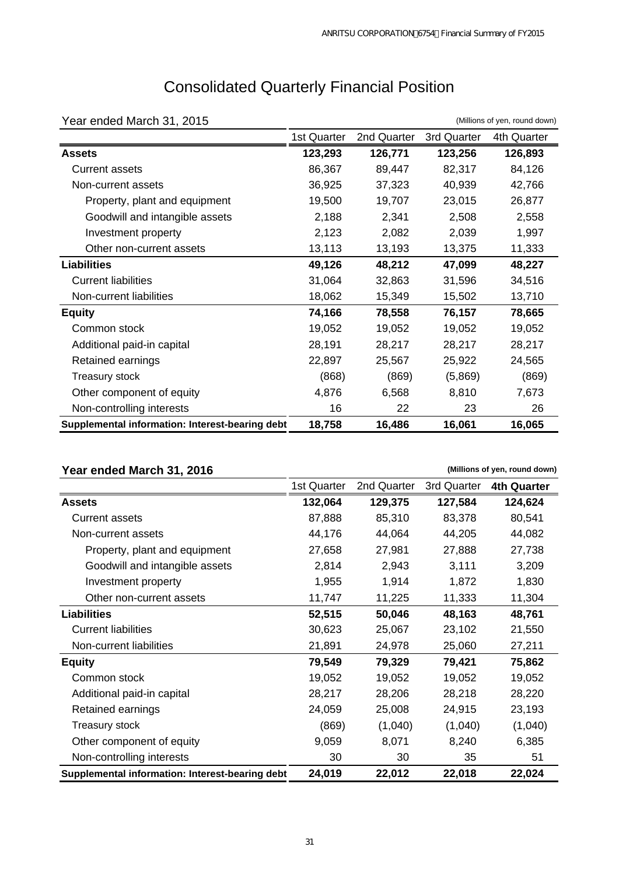| Year ended March 31, 2015                       |             |             |             | (Millions of yen, round down) |
|-------------------------------------------------|-------------|-------------|-------------|-------------------------------|
|                                                 | 1st Quarter | 2nd Quarter | 3rd Quarter | 4th Quarter                   |
| <b>Assets</b>                                   | 123,293     | 126,771     | 123,256     | 126,893                       |
| <b>Current assets</b>                           | 86,367      | 89,447      | 82,317      | 84,126                        |
| Non-current assets                              | 36,925      | 37,323      | 40,939      | 42,766                        |
| Property, plant and equipment                   | 19,500      | 19,707      | 23,015      | 26,877                        |
| Goodwill and intangible assets                  | 2,188       | 2,341       | 2,508       | 2,558                         |
| Investment property                             | 2,123       | 2,082       | 2,039       | 1,997                         |
| Other non-current assets                        | 13,113      | 13,193      | 13,375      | 11,333                        |
| <b>Liabilities</b>                              | 49,126      | 48,212      | 47,099      | 48,227                        |
| <b>Current liabilities</b>                      | 31,064      | 32,863      | 31,596      | 34,516                        |
| Non-current liabilities                         | 18,062      | 15,349      | 15,502      | 13,710                        |
| <b>Equity</b>                                   | 74,166      | 78,558      | 76,157      | 78,665                        |
| Common stock                                    | 19,052      | 19,052      | 19,052      | 19,052                        |
| Additional paid-in capital                      | 28,191      | 28,217      | 28,217      | 28,217                        |
| Retained earnings                               | 22,897      | 25,567      | 25,922      | 24,565                        |
| <b>Treasury stock</b>                           | (868)       | (869)       | (5,869)     | (869)                         |
| Other component of equity                       | 4,876       | 6,568       | 8,810       | 7,673                         |
| Non-controlling interests                       | 16          | 22          | 23          | 26                            |
| Supplemental information: Interest-bearing debt | 18,758      | 16,486      | 16,061      | 16,065                        |

# Consolidated Quarterly Financial Position

## **Year ended March 31, 2016**

**(Millions of yen, round down)**

| Year ended March 31, 2016                       |             |             |             | (Millions of yen, round down) |
|-------------------------------------------------|-------------|-------------|-------------|-------------------------------|
|                                                 | 1st Quarter | 2nd Quarter | 3rd Quarter | <b>4th Quarter</b>            |
| <b>Assets</b>                                   | 132,064     | 129,375     | 127,584     | 124,624                       |
| <b>Current assets</b>                           | 87,888      | 85,310      | 83,378      | 80,541                        |
| Non-current assets                              | 44,176      | 44,064      | 44,205      | 44,082                        |
| Property, plant and equipment                   | 27,658      | 27,981      | 27,888      | 27,738                        |
| Goodwill and intangible assets                  | 2,814       | 2,943       | 3,111       | 3,209                         |
| Investment property                             | 1,955       | 1,914       | 1,872       | 1,830                         |
| Other non-current assets                        | 11,747      | 11,225      | 11,333      | 11,304                        |
| <b>Liabilities</b>                              | 52,515      | 50,046      | 48,163      | 48,761                        |
| <b>Current liabilities</b>                      | 30,623      | 25,067      | 23,102      | 21,550                        |
| Non-current liabilities                         | 21,891      | 24,978      | 25,060      | 27,211                        |
| <b>Equity</b>                                   | 79,549      | 79,329      | 79,421      | 75,862                        |
| Common stock                                    | 19,052      | 19,052      | 19,052      | 19,052                        |
| Additional paid-in capital                      | 28,217      | 28,206      | 28,218      | 28,220                        |
| Retained earnings                               | 24,059      | 25,008      | 24,915      | 23,193                        |
| Treasury stock                                  | (869)       | (1,040)     | (1,040)     | (1,040)                       |
| Other component of equity                       | 9,059       | 8,071       | 8,240       | 6,385                         |
| Non-controlling interests                       | 30          | 30          | 35          | 51                            |
| Supplemental information: Interest-bearing debt | 24,019      | 22,012      | 22,018      | 22,024                        |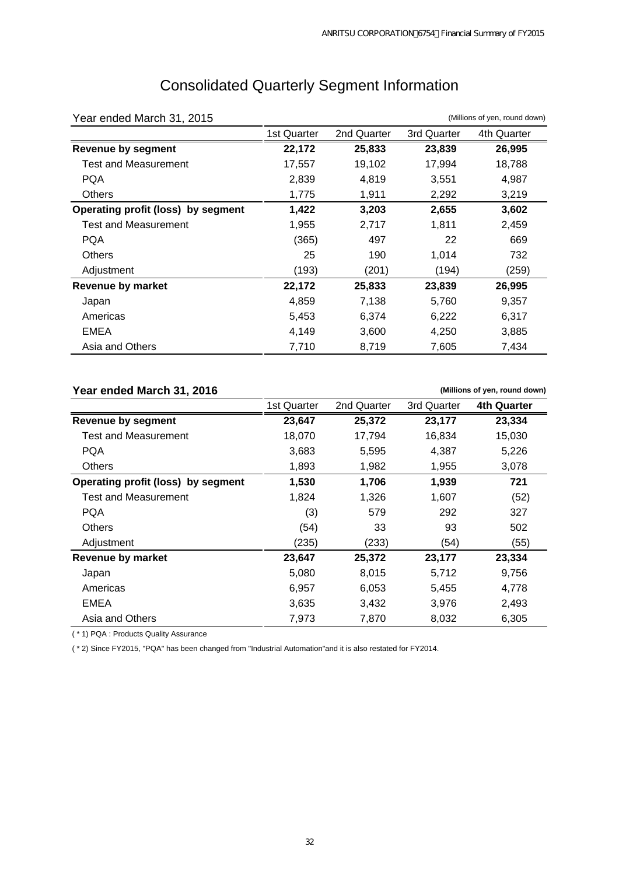| Year ended March 31, 2015          |             |             |             | (Millions of yen, round down) |
|------------------------------------|-------------|-------------|-------------|-------------------------------|
|                                    | 1st Quarter | 2nd Quarter | 3rd Quarter | 4th Quarter                   |
| <b>Revenue by segment</b>          | 22,172      | 25,833      | 23,839      | 26,995                        |
| <b>Test and Measurement</b>        | 17,557      | 19,102      | 17,994      | 18,788                        |
| PQA                                | 2,839       | 4,819       | 3,551       | 4,987                         |
| <b>Others</b>                      | 1,775       | 1,911       | 2,292       | 3,219                         |
| Operating profit (loss) by segment | 1,422       | 3,203       | 2,655       | 3,602                         |
| Test and Measurement               | 1,955       | 2,717       | 1,811       | 2,459                         |
| <b>PQA</b>                         | (365)       | 497         | 22          | 669                           |
| <b>Others</b>                      | 25          | 190         | 1,014       | 732                           |
| Adjustment                         | (193)       | (201)       | (194)       | (259)                         |
| <b>Revenue by market</b>           | 22,172      | 25,833      | 23,839      | 26,995                        |
| Japan                              | 4,859       | 7,138       | 5,760       | 9,357                         |
| Americas                           | 5,453       | 6,374       | 6,222       | 6,317                         |
| EMEA                               | 4,149       | 3,600       | 4,250       | 3,885                         |
| Asia and Others                    | 7,710       | 8,719       | 7,605       | 7,434                         |

# Consolidated Quarterly Segment Information

### **Year ended March 31, 2016**

1st Quarter 2nd Quarter 3rd Quarter **4th Quarter Revenue by segment 23,647 25,372 23,177 23,334**  Test and Measurement 18,070 17,794 16,834 15,030 PQA 3,683 5,595 4,387 5,226 Others 1,893 1,982 1,955 3,078 **Operating profit (loss) by segment 1,530 1,706 1,939 721**  Test and Measurement 1,824 1,326 1,607 (52) PQA (3) 579 292 327 Others (54) 33 93 502 Adjustment (235) (233) (54) (55) **Revenue by market 23,647 25,372 23,177 23,334**  Japan 5,080 8,015 5,712 9,756 Americas 6,957 6,053 5,455 4,778 EMEA 3,635 3,432 3,976 2,493 Asia and Others **7,973** 7,870 8,032 6,305 **(Millions of yen, round down)**

( \* 1) PQA : Products Quality Assurance

( \* 2) Since FY2015, "PQA" has been changed from "Industrial Automation"and it is also restated for FY2014.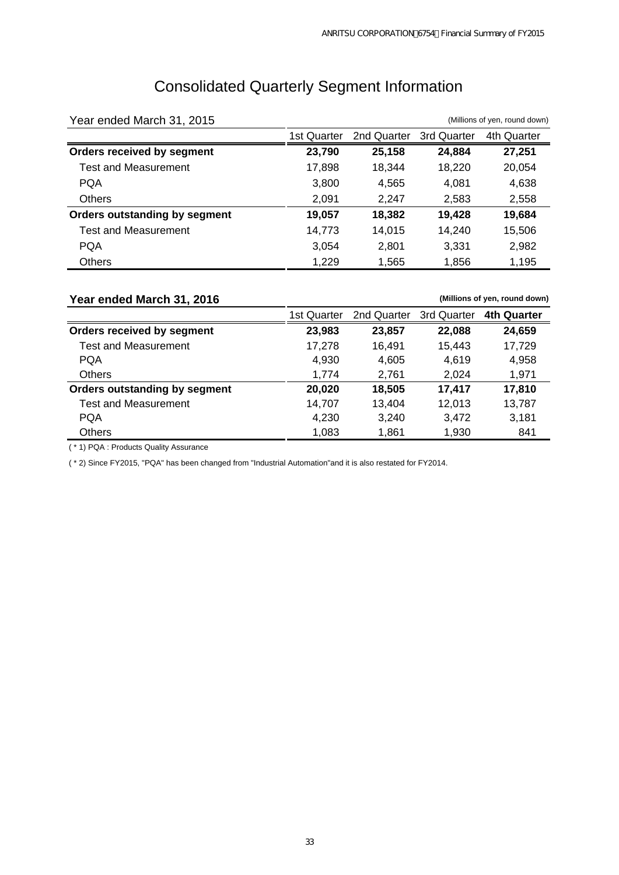# Consolidated Quarterly Segment Information

| Year ended March 31, 2015            |             | (Millions of yen, round down) |             |             |  |  |  |
|--------------------------------------|-------------|-------------------------------|-------------|-------------|--|--|--|
|                                      | 1st Quarter | 2nd Quarter                   | 3rd Quarter | 4th Quarter |  |  |  |
| Orders received by segment           | 23,790      | 25,158                        | 24,884      | 27,251      |  |  |  |
| <b>Test and Measurement</b>          | 17,898      | 18,344                        | 18,220      | 20,054      |  |  |  |
| <b>PQA</b>                           | 3,800       | 4,565                         | 4,081       | 4,638       |  |  |  |
| <b>Others</b>                        | 2,091       | 2,247                         | 2,583       | 2,558       |  |  |  |
| <b>Orders outstanding by segment</b> | 19,057      | 18,382                        | 19,428      | 19,684      |  |  |  |
| <b>Test and Measurement</b>          | 14,773      | 14.015                        | 14,240      | 15,506      |  |  |  |
| <b>PQA</b>                           | 3,054       | 2,801                         | 3,331       | 2,982       |  |  |  |
| <b>Others</b>                        | 1,229       | 1,565                         | 1,856       | 1,195       |  |  |  |

## **Year ended March 31, 2016** 1st Quarter 2nd Quarter 3rd Quarter **4th Quarter Orders received by segment 23,983 23,857 22,088 24,659**  Test and Measurement 17,278 16,491 15,443 17,729 PQA 4,930 4,605 4,619 4,958 Others 1,774 2,761 2,024 1,971 **Orders outstanding by segment 20,020 18,505 17,417 17,810**  Test and Measurement 14,707 13,404 12,013 13,787 PQA 4,230 3,240 3,472 3,181 Others 1,083 1,861 1,930 841 **(Millions of yen, round down)**

( \* 1) PQA : Products Quality Assurance

( \* 2) Since FY2015, "PQA" has been changed from "Industrial Automation"and it is also restated for FY2014.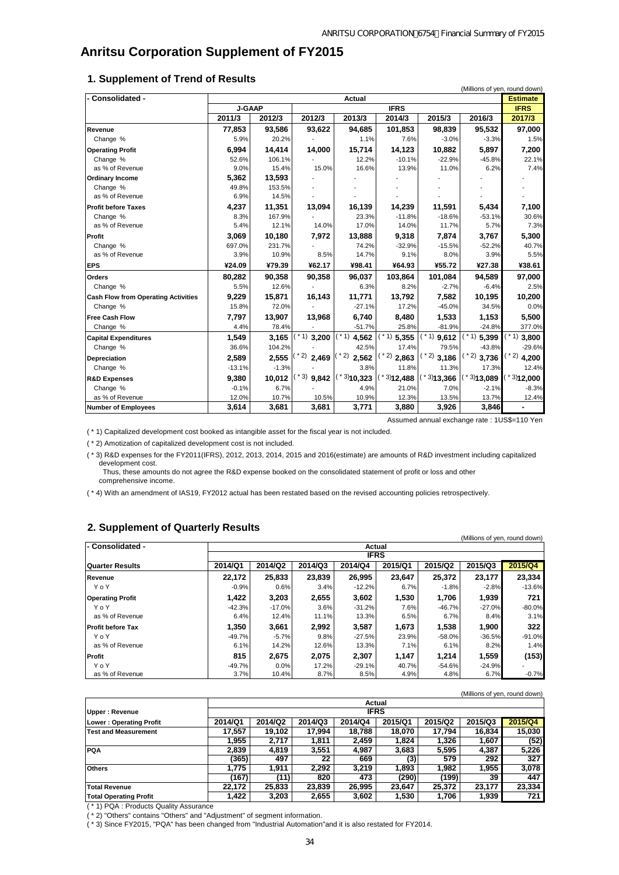## **Anritsu Corporation Supplement of FY2015**

#### **1. Supplement of Trend of Results**

| - Consolidated -                           |               |         |                | Actual           |                  |                |                  | <b>Estimate</b>        |  |
|--------------------------------------------|---------------|---------|----------------|------------------|------------------|----------------|------------------|------------------------|--|
|                                            | <b>J-GAAP</b> |         |                | <b>IFRS</b>      |                  |                |                  |                        |  |
|                                            | 2011/3        | 2012/3  | 2012/3         | 2013/3           | 2014/3           | 2015/3         | 2016/3           | 2017/3                 |  |
| Revenue                                    | 77,853        | 93,586  | 93,622         | 94,685           | 101,853          | 98.839         | 95,532           | 97,000                 |  |
| Change %                                   | 5.9%          | 20.2%   |                | 1.1%             | 7.6%             | $-3.0%$        | $-3.3%$          | 1.5%                   |  |
| <b>Operating Profit</b>                    | 6,994         | 14,414  | 14,000         | 15,714           | 14,123           | 10,882         | 5,897            | 7,200                  |  |
| Change %                                   | 52.6%         | 106.1%  |                | 12.2%            | $-10.1%$         | $-22.9%$       | $-45.8%$         | 22.1%                  |  |
| as % of Revenue                            | 9.0%          | 15.4%   | 15.0%          | 16.6%            | 13.9%            | 11.0%          | 6.2%             | 7.4%                   |  |
| <b>Ordinary Income</b>                     | 5,362         | 13,593  |                |                  |                  |                |                  |                        |  |
| Change %                                   | 49.8%         | 153.5%  |                |                  |                  |                |                  |                        |  |
| as % of Revenue                            | 6.9%          | 14.5%   |                |                  |                  |                |                  |                        |  |
| <b>Profit before Taxes</b>                 | 4,237         | 11,351  | 13,094         | 16,139           | 14,239           | 11,591         | 5,434            | 7,100                  |  |
| Change %                                   | 8.3%          | 167.9%  |                | 23.3%            | $-11.8%$         | $-18.6%$       | $-53.1%$         | 30.6%                  |  |
| as % of Revenue                            | 5.4%          | 12.1%   | 14.0%          | 17.0%            | 14.0%            | 11.7%          | 5.7%             | 7.3%                   |  |
| Profit                                     | 3.069         | 10,180  | 7.972          | 13.888           | 9,318            | 7.874          | 3.767            | 5,300                  |  |
| Change %                                   | 697.0%        | 231.7%  |                | 74.2%            | $-32.9%$         | $-15.5%$       | $-52.2%$         | 40.7%                  |  |
| as % of Revenue                            | 3.9%          | 10.9%   | 8.5%           | 14.7%            | 9.1%             | 8.0%           | 3.9%             | 5.5%                   |  |
| <b>EPS</b>                                 | ¥24.09        | ¥79.39  | ¥62.17         | ¥98.41           | ¥64.93           | ¥55.72         | ¥27.38           | ¥38.61                 |  |
| <b>Orders</b>                              | 80,282        | 90,358  | 90,358         | 96,037           | 103,864          | 101,084        | 94,589           | 97,000                 |  |
| Change %                                   | 5.5%          | 12.6%   |                | 6.3%             | 8.2%             | $-2.7%$        | $-6.4%$          | 2.5%                   |  |
| <b>Cash Flow from Operating Activities</b> | 9,229         | 15,871  | 16,143         | 11,771           | 13,792           | 7,582          | 10,195           | 10,200                 |  |
| Change %                                   | 15.8%         | 72.0%   |                | $-27.1%$         | 17.2%            | $-45.0%$       | 34.5%            | 0.0%                   |  |
| <b>Free Cash Flow</b>                      | 7,797         | 13,907  | 13,968         | 6,740            | 8,480            | 1,533          | 1,153            | 5,500                  |  |
| Change %                                   | 4.4%          | 78.4%   |                | $-51.7%$         | 25.8%            | $-81.9%$       | $-24.8%$         | 377.0%                 |  |
| <b>Capital Expenditures</b>                | 1,549         | 3,165   | $*1)$ 3,200    | $(* 1)$<br>4,562 | $(* 1)$<br>5,355 | $(1)$ 9,612    | $(* 1)$<br>5,399 | $(* 1)$ 3,800          |  |
| Change %                                   | 36.6%         | 104.2%  |                | 42.5%            | 17.4%            | 79.5%          | $-43.8%$         | $-29.6%$               |  |
| <b>Depreciation</b>                        | 2,589         | 2,555   | 2)<br>2,469    | '2)<br>2,562     | $*2)$<br>2,863   | $(1, 2)$ 3,186 | $(1, 2)$ 3,736   | $*$ 2) 4,200           |  |
| Change %                                   | $-13.1%$      | $-1.3%$ |                | 3.8%             | 11.8%            | 11.3%          | 17.3%            | 12.4%                  |  |
| <b>R&amp;D Expenses</b>                    | 9,380         | 10,012  | $*3)$<br>9,842 | $(*3)$ 10,323    | $*3$ 12,488      | $*3$ 13,366    | $*3$ )13,089     | $*3$ <sup>12,000</sup> |  |
| Change %                                   | $-0.1%$       | 6.7%    |                | 4.9%             | 21.0%            | 7.0%           | $-2.1%$          | $-8.3%$                |  |
| as % of Revenue                            | 12.0%         | 10.7%   | 10.5%          | 10.9%            | 12.3%            | 13.5%          | 13.7%            | 12.4%                  |  |
| <b>Number of Employees</b>                 | 3.614         | 3.681   | 3,681          | 3,771            | 3.880            | 3,926          | 3,846            |                        |  |

Assumed annual exchange rate : 1US\$=110 Yen

( \* 1) Capitalized development cost booked as intangible asset for the fiscal year is not included.

( \* 2) Amotization of capitalized development cost is not included.

 development cost. ( \* 3) R&D expenses for the FY2011(IFRS), 2012, 2013, 2014, 2015 and 2016(estimate) are amounts of R&D investment including capitalized

 Thus, these amounts do not agree the R&D expense booked on the consolidated statement of profit or loss and other comprehensive income.

( \* 4) With an amendment of IAS19, FY2012 actual has been restated based on the revised accounting policies retrospectively.

#### **2. Supplement of Quarterly Results**

|                          |          |          |         |             |         |          | (Millions of yen, round down) |          |
|--------------------------|----------|----------|---------|-------------|---------|----------|-------------------------------|----------|
| - Consolidated -         |          |          |         | Actual      |         |          |                               |          |
|                          |          |          |         | <b>IFRS</b> |         |          |                               |          |
| <b>Quarter Results</b>   | 2014/Q1  | 2014/Q2  | 2014/Q3 | 2014/Q4     | 2015/Q1 | 2015/Q2  | 2015/Q3                       | 2015/Q4  |
| Revenue                  | 22.172   | 25,833   | 23.839  | 26,995      | 23.647  | 25,372   | 23.177                        | 23.334   |
| YoY                      | $-0.9%$  | 0.6%     | 3.4%    | $-12.2%$    | 6.7%    | $-1.8%$  | $-2.8%$                       | $-13.6%$ |
| <b>Operating Profit</b>  | 1,422    | 3,203    | 2,655   | 3,602       | 1,530   | 1,706    | 1,939                         | 721      |
| YoY                      | $-42.3%$ | $-17.0%$ | 3.6%    | $-31.2%$    | 7.6%    | $-46.7%$ | $-27.0%$                      | $-80.0%$ |
| as % of Revenue          | 6.4%     | 12.4%    | 11.1%   | 13.3%       | 6.5%    | 6.7%     | 8.4%                          | 3.1%     |
| <b>Profit before Tax</b> | 1.350    | 3,661    | 2.992   | 3,587       | 1.673   | 1,538    | 1.900                         | 322      |
| YoY                      | $-49.7%$ | $-5.7%$  | 9.8%    | $-27.5%$    | 23.9%   | $-58.0%$ | $-36.5%$                      | $-91.0%$ |
| as % of Revenue          | 6.1%     | 14.2%    | 12.6%   | 13.3%       | 7.1%    | 6.1%     | 8.2%                          | 1.4%     |
| Profit                   | 815      | 2,675    | 2,075   | 2,307       | 1,147   | 1,214    | 1,559                         | (153)    |
| YoY                      | $-49.7%$ | 0.0%     | 17.2%   | $-29.1%$    | 40.7%   | -54.6%   | $-24.9%$                      |          |
| as % of Revenue          | 3.7%     | 10.4%    | 8.7%    | 8.5%        | 4.9%    | 4.8%     | 6.7%                          | $-0.7%$  |

|                               |         |         |         |             |         |         | (Millions of yen, round down) |         |
|-------------------------------|---------|---------|---------|-------------|---------|---------|-------------------------------|---------|
|                               |         |         |         |             | Actual  |         |                               |         |
| Upper: Revenue                |         |         |         | <b>IFRS</b> |         |         |                               |         |
| Lower: Operating Profit       | 2014/Q1 | 2014/Q2 | 2014/Q3 | 2014/Q4     | 2015/Q1 | 2015/Q2 | 2015/Q3                       | 2015/Q4 |
| <b>Test and Measurement</b>   | 17.557  | 19.102  | 17.994  | 18.788      | 18.070  | 17.794  | 16.834                        | 15,030  |
|                               | 1.955   | 2.717   | 1.811   | 2,459       | 1,824   | 1,326   | 1.607                         | (52)    |
| <b>PQA</b>                    | 2.839   | 4,819   | 3,551   | 4,987       | 3,683   | 5,595   | 4,387                         | 5,226   |
|                               | (365)   | 497     | 22      | 669         | (3)     | 579     | 292                           | 327     |
| <b>Others</b>                 | 1.775   | 1.911   | 2.292   | 3.219       | 1.893   | 1.982   | 1.955                         | 3,078   |
|                               | (167)   | (11)    | 820     | 473         | (290)   | (199)   | 39                            | 447     |
| Total Revenue                 | 22.172  | 25,833  | 23.839  | 26,995      | 23.647  | 25.372  | 23.177                        | 23,334  |
| <b>Total Operating Profit</b> | 1.422   | 3,203   | 2,655   | 3,602       | 1,530   | 1,706   | 1.939                         | 721     |

( \* 1) PQA : Products Quality Assurance

( \* 2) "Others" contains "Others" and "Adjustment" of segment information.

( \* 3) Since FY2015, "PQA" has been changed from "Industrial Automation"and it is also restated for FY2014.